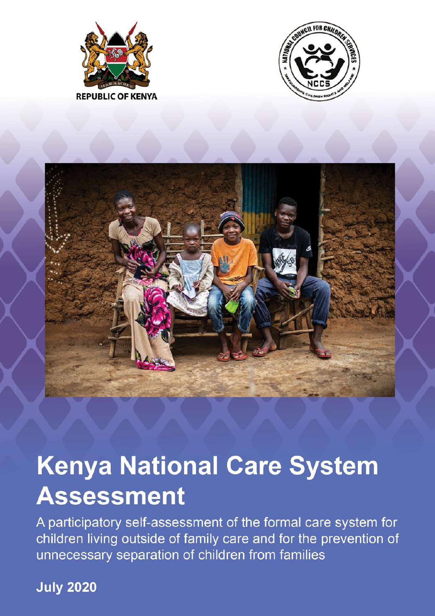





# **Kenya National Care System Assessment**

A participatory self-assessment of the formal care system for children living outside of family care and for the prevention of unnecessary separation of children from families

**July 2020**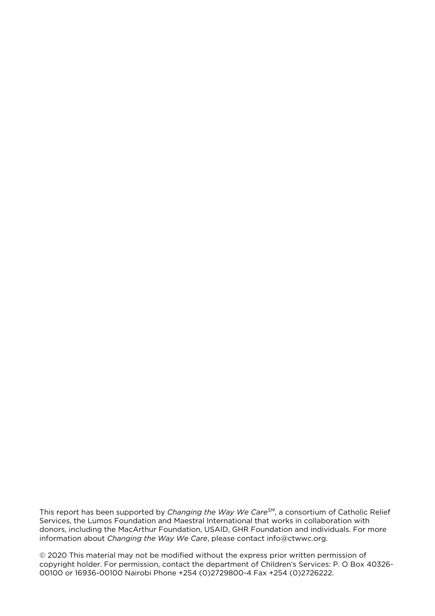This report has been supported by *Changing the Way We CareSM*, a consortium of Catholic Relief Services, the Lumos Foundation and Maestral International that works in collaboration with donors, including the MacArthur Foundation, USAID, GHR Foundation and individuals. For more information about *Changing the Way We Care*, please contact info@ctwwc.org.

© 2020 This material may not be modified without the express prior written permission of copyright holder. For permission, contact the department of Children's Services: P. O Box 40326- 00100 or 16936-00100 Nairobi Phone +254 (0)2729800-4 Fax +254 (0)2726222.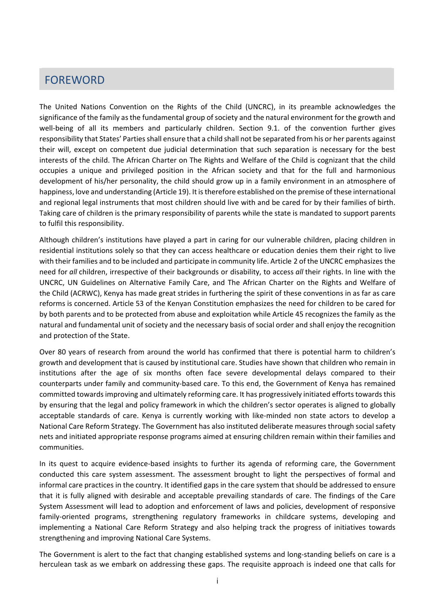# <span id="page-2-0"></span>**Foreword** FOREWORD

The United Nations Convention on the Rights of the Child (UNCRC), in its preamble acknowledges the significance of the family as the fundamental group of society and the natural environment for the growth and well-being of all its members and particularly children. Section 9.1. of the convention further gives responsibility that States' Parties shall ensure that a child shall not be separated from his or her parents against their will, except on competent due judicial determination that such separation is necessary for the best interests of the child. The African Charter on The Rights and Welfare of the Child is cognizant that the child occupies a unique and privileged position in the African society and that for the full and harmonious development of his/her personality, the child should grow up in a family environment in an atmosphere of happiness, love and understanding (Article 19). It is therefore established on the premise of these international and regional legal instruments that most children should live with and be cared for by their families of birth. Taking care of children is the primary responsibility of parents while the state is mandated to support parents to fulfil this responsibility.

Although children's institutions have played a part in caring for our vulnerable children, placing children in residential institutions solely so that they can access healthcare or education denies them their right to live with their families and to be included and participate in community life. Article 2 of the UNCRC emphasizes the need for *all* children, irrespective of their backgrounds or disability, to access *all* their rights. In line with the UNCRC, UN Guidelines on Alternative Family Care, and The African Charter on the Rights and Welfare of the Child (ACRWC), Kenya has made great strides in furthering the spirit of these conventions in as far as care reforms is concerned. Article 53 of the Kenyan Constitution emphasizes the need for children to be cared for by both parents and to be protected from abuse and exploitation while Article 45 recognizes the family as the natural and fundamental unit of society and the necessary basis of social order and shall enjoy the recognition and protection of the State.

Over 80 years of research from around the world has confirmed that there is potential harm to children's growth and development that is caused by institutional care. Studies have shown that children who remain in institutions after the age of six months often face severe developmental delays compared to their counterparts under family and community-based care. To this end, the Government of Kenya has remained committed towards improving and ultimately reforming care. It has progressively initiated efforts towards this by ensuring that the legal and policy framework in which the children's sector operates is aligned to globally acceptable standards of care. Kenya is currently working with like-minded non state actors to develop a National Care Reform Strategy. The Government has also instituted deliberate measures through social safety nets and initiated appropriate response programs aimed at ensuring children remain within their families and communities.

In its quest to acquire evidence-based insights to further its agenda of reforming care, the Government conducted this care system assessment. The assessment brought to light the perspectives of formal and informal care practices in the country. It identified gaps in the care system that should be addressed to ensure that it is fully aligned with desirable and acceptable prevailing standards of care. The findings of the Care System Assessment will lead to adoption and enforcement of laws and policies, development of responsive family-oriented programs, strengthening regulatory frameworks in childcare systems, developing and implementing a National Care Reform Strategy and also helping track the progress of initiatives towards strengthening and improving National Care Systems.

The Government is alert to the fact that changing established systems and long-standing beliefs on care is a herculean task as we embark on addressing these gaps. The requisite approach is indeed one that calls for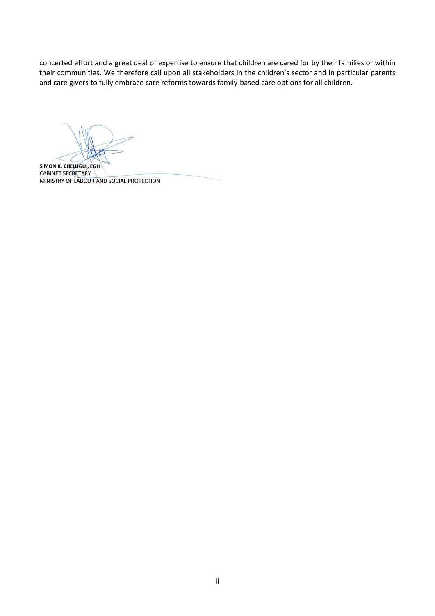concerted effort and a great deal of expertise to ensure that children are cared for by their families or within their communities. We therefore call upon all stakeholders in the children's sector and in particular parents and care givers to fully embrace care reforms towards family-based care options for all children.

SIMON K. CHELUGUI, EGH **CABINET SECRETARY** MINISTRY OF LABOUR AND SOCIAL PROTECTION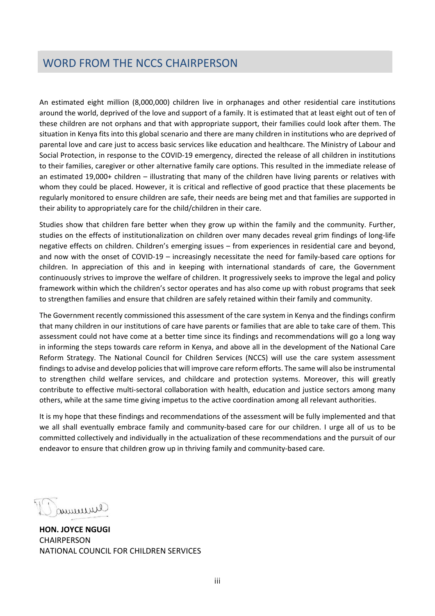# <span id="page-4-0"></span>**Word from NCCS Chairperson** WORD FROM THE NCCS CHAIRPERSON

An estimated eight million (8,000,000) children live in orphanages and other residential care institutions around the world, deprived of the love and support of a family. It is estimated that at least eight out of ten of these children are not orphans and that with appropriate support, their families could look after them. The situation in Kenya fits into this global scenario and there are many children in institutions who are deprived of parental love and care just to access basic services like education and healthcare. The Ministry of Labour and Social Protection, in response to the COVID-19 emergency, directed the release of all children in institutions to their families, caregiver or other alternative family care options. This resulted in the immediate release of an estimated 19,000+ children – illustrating that many of the children have living parents or relatives with whom they could be placed. However, it is critical and reflective of good practice that these placements be regularly monitored to ensure children are safe, their needs are being met and that families are supported in their ability to appropriately care for the child/children in their care.

Studies show that children fare better when they grow up within the family and the community. Further, studies on the effects of institutionalization on children over many decades reveal grim findings of long-life negative effects on children. Children's emerging issues – from experiences in residential care and beyond, and now with the onset of COVID-19 – increasingly necessitate the need for family-based care options for children. In appreciation of this and in keeping with international standards of care, the Government continuously strives to improve the welfare of children. It progressively seeks to improve the legal and policy framework within which the children's sector operates and has also come up with robust programs that seek to strengthen families and ensure that children are safely retained within their family and community.

The Government recently commissioned this assessment of the care system in Kenya and the findings confirm that many children in our institutions of care have parents or families that are able to take care of them. This assessment could not have come at a better time since its findings and recommendations will go a long way in informing the steps towards care reform in Kenya, and above all in the development of the National Care Reform Strategy. The National Council for Children Services (NCCS) will use the care system assessment findings to advise and develop policies that will improve care reform efforts. The same will also be instrumental to strengthen child welfare services, and childcare and protection systems. Moreover, this will greatly contribute to effective multi-sectoral collaboration with health, education and justice sectors among many others, while at the same time giving impetus to the active coordination among all relevant authorities.

It is my hope that these findings and recommendations of the assessment will be fully implemented and that we all shall eventually embrace family and community-based care for our children. I urge all of us to be committed collectively and individually in the actualization of these recommendations and the pursuit of our endeavor to ensure that children grow up in thriving family and community-based care.

Jummure

**HON. JOYCE NGUGI CHAIRPERSON** NATIONAL COUNCIL FOR CHILDREN SERVICES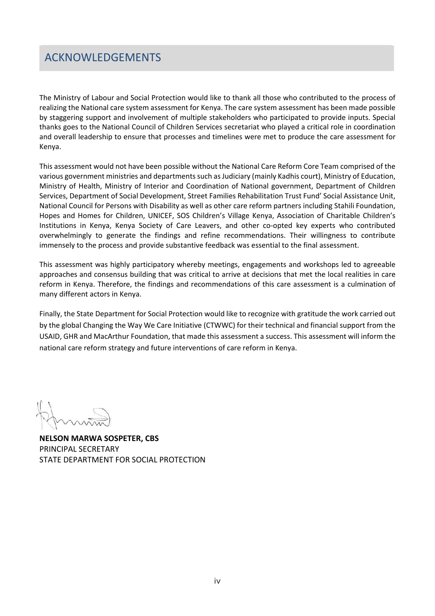### <span id="page-5-0"></span>**Acknowledgements**  ACKNOWLEDGEMENTS

The Ministry of Labour and Social Protection would like to thank all those who contributed to the process of realizing the National care system assessment for Kenya. The care system assessment has been made possible by staggering support and involvement of multiple stakeholders who participated to provide inputs. Special thanks goes to the National Council of Children Services secretariat who played a critical role in coordination and overall leadership to ensure that processes and timelines were met to produce the care assessment for Kenya.

This assessment would not have been possible without the National Care Reform Core Team comprised of the various government ministries and departments such as Judiciary (mainly Kadhis court), Ministry of Education, Ministry of Health, Ministry of Interior and Coordination of National government, Department of Children Services, Department of Social Development, Street Families Rehabilitation Trust Fund' Social Assistance Unit, National Council for Persons with Disability as well as other care reform partners including Stahili Foundation, Hopes and Homes for Children, UNICEF, SOS Children's Village Kenya, Association of Charitable Children's Institutions in Kenya, Kenya Society of Care Leavers, and other co-opted key experts who contributed overwhelmingly to generate the findings and refine recommendations. Their willingness to contribute immensely to the process and provide substantive feedback was essential to the final assessment.

This assessment was highly participatory whereby meetings, engagements and workshops led to agreeable approaches and consensus building that was critical to arrive at decisions that met the local realities in care reform in Kenya. Therefore, the findings and recommendations of this care assessment is a culmination of many different actors in Kenya.

Finally, the State Department for Social Protection would like to recognize with gratitude the work carried out by the global Changing the Way We Care Initiative (CTWWC) for their technical and financial support from the USAID, GHR and MacArthur Foundation, that made this assessment a success. This assessment will inform the national care reform strategy and future interventions of care reform in Kenya.

**NELSON MARWA SOSPETER, CBS** PRINCIPAL SECRETARY STATE DEPARTMENT FOR SOCIAL PROTECTION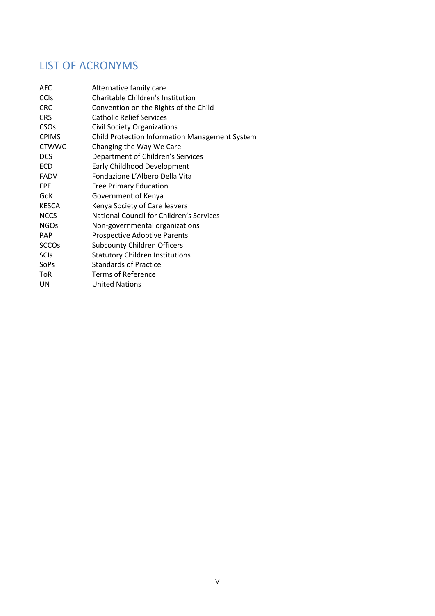# LIST OF ACRONYMS

| <b>AFC</b>             | Alternative family care                               |
|------------------------|-------------------------------------------------------|
| <b>CCIS</b>            | Charitable Children's Institution                     |
| <b>CRC</b>             | Convention on the Rights of the Child                 |
| <b>CRS</b>             | <b>Catholic Relief Services</b>                       |
| <b>CSO<sub>S</sub></b> | <b>Civil Society Organizations</b>                    |
| <b>CPIMS</b>           | <b>Child Protection Information Management System</b> |
| <b>CTWWC</b>           | Changing the Way We Care                              |
| <b>DCS</b>             | Department of Children's Services                     |
| <b>ECD</b>             | <b>Early Childhood Development</b>                    |
| <b>FADV</b>            | Fondazione L'Albero Della Vita                        |
| <b>FPE</b>             | <b>Free Primary Education</b>                         |
| <b>GoK</b>             | Government of Kenya                                   |
| <b>KESCA</b>           | Kenya Society of Care leavers                         |
| <b>NCCS</b>            | National Council for Children's Services              |
| <b>NGOs</b>            | Non-governmental organizations                        |
| <b>PAP</b>             | <b>Prospective Adoptive Parents</b>                   |
| <b>SCCOs</b>           | <b>Subcounty Children Officers</b>                    |
| <b>SCIs</b>            | <b>Statutory Children Institutions</b>                |
| SoPs                   | <b>Standards of Practice</b>                          |
| <b>ToR</b>             | Terms of Reference                                    |
| UN                     | <b>United Nations</b>                                 |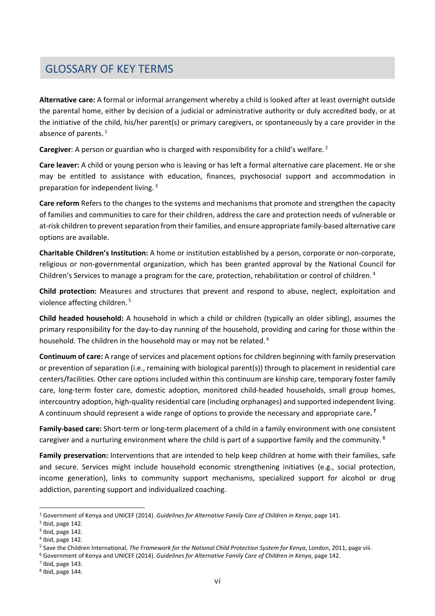# <span id="page-7-8"></span>**Glossary of Key Terms** GLOSSARY OF KEY TERMS

**Alternative care:** A formal or informal arrangement whereby a child is looked after at least overnight outside the parental home, either by decision of a judicial or administrative authority or duly accredited body, or at the initiative of the child, his/her parent(s) or primary caregivers, or spontaneously by a care provider in the absence of parents.<sup>[1](#page-7-0)</sup>

**Caregiver**: A person or guardian who is charged with responsibility for a child's welfare. [2](#page-7-1)

**Care leaver:** A child or young person who is leaving or has left a formal alternative care placement. He or she may be entitled to assistance with education, finances, psychosocial support and accommodation in preparation for independent living. [3](#page-7-2)

**Care reform** Refers to the changes to the systems and mechanisms that promote and strengthen the capacity of families and communities to care for their children, address the care and protection needs of vulnerable or at-risk children to prevent separation from their families, and ensure appropriate family-based alternative care options are available.

**Charitable Children's Institution:** A home or institution established by a person, corporate or non-corporate, religious or non-governmental organization, which has been granted approval by the National Council for Children's Services to manage a program for the care, protection, rehabilitation or control of children. [4](#page-7-3)

**Child protection:** Measures and structures that prevent and respond to abuse, neglect, exploitation and violence affecting children. [5](#page-7-4)

**Child headed household:** A household in which a child or children (typically an older sibling), assumes the primary responsibility for the day-to-day running of the household, providing and caring for those within the household. The children in the household may or may not be related.<sup>[6](#page-7-5)</sup>

**Continuum of care:** A range of services and placement options for children beginning with family preservation or prevention of separation (i.e., remaining with biological parent(s)) through to placement in residential care centers/facilities. Other care options included within this continuum are kinship care, temporary foster family care, long-term foster care, domestic adoption, monitored child-headed households, small group homes, intercountry adoption, high-quality residential care (including orphanages) and supported independent living. A continuum should represent a wide range of options to provide the necessary and appropriate care**. [7](#page-7-6)**

**Family-based care:** Short-term or long-term placement of a child in a family environment with one consistent caregiver and a nurturing environment where the child is part of a supportive family and the community.<sup>[8](#page-7-7)</sup>

**Family preservation:** Interventions that are intended to help keep children at home with their families, safe and secure. Services might include household economic strengthening initiatives (e.g., social protection, income generation), links to community support mechanisms, specialized support for alcohol or drug addiction, parenting support and individualized coaching.

<span id="page-7-0"></span><sup>1</sup> Government of Kenya and UNICEF (2014). *Guidelines for Alternative Family Care of Children in Kenya*, page 141.

<span id="page-7-1"></span> $<sup>2</sup>$  Ibid, page 142.</sup>

<span id="page-7-2"></span> $3$  Ibid, page 142.

<span id="page-7-3"></span> $<sup>4</sup>$  Ibid, page 142.</sup>

<span id="page-7-4"></span><sup>5</sup> Save the Children International, *The Framework for the National Child Protection System for Kenya*, London, 2011, page viii.

<span id="page-7-5"></span><sup>6</sup> Government of Kenya and UNICEF (2014). *Guidelines for Alternative Family Care of Children in Kenya*, page 142.

<span id="page-7-6"></span> $<sup>7</sup>$  Ibid, page 143.</sup>

<span id="page-7-7"></span><sup>8</sup> Ibid, page 144.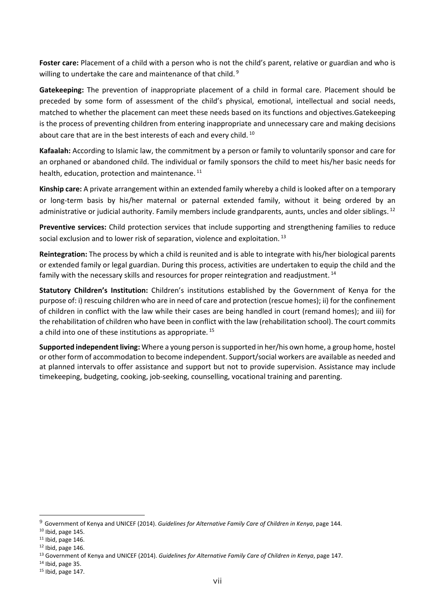**Foster care:** Placement of a child with a person who is not the child's parent, relative or guardian and who is willing to undertake the care and maintenance of that child.<sup>[9](#page-8-0)</sup>

**Gatekeeping:** The prevention of inappropriate placement of a child in formal care. Placement should be preceded by some form of assessment of the child's physical, emotional, intellectual and social needs, matched to whether the placement can meet these needs based on its functions and objectives.Gatekeeping is the process of preventing children from entering inappropriate and unnecessary care and making decisions about care that are in the best interests of each and every child.<sup>[10](#page-8-1)</sup>

**Kafaalah:** According to Islamic law, the commitment by a person or family to voluntarily sponsor and care for an orphaned or abandoned child. The individual or family sponsors the child to meet his/her basic needs for health, education, protection and maintenance.<sup>[11](#page-8-2)</sup>

**Kinship care:** A private arrangement within an extended family whereby a child is looked after on a temporary or long-term basis by his/her maternal or paternal extended family, without it being ordered by an administrative or judicial authority. Family members include grandparents, aunts, uncles and older siblings. <sup>[12](#page-8-3)</sup>

**Preventive services:** Child protection services that include supporting and strengthening families to reduce social exclusion and to lower risk of separation, violence and exploitation.<sup>[13](#page-8-4)</sup>

**Reintegration:** The process by which a child is reunited and is able to integrate with his/her biological parents or extended family or legal guardian. During this process, activities are undertaken to equip the child and the family with the necessary skills and resources for proper reintegration and readjustment.<sup>[14](#page-8-5)</sup>

**Statutory Children's Institution:** Children's institutions established by the Government of Kenya for the purpose of: i) rescuing children who are in need of care and protection (rescue homes); ii) for the confinement of children in conflict with the law while their cases are being handled in court (remand homes); and iii) for the rehabilitation of children who have been in conflict with the law (rehabilitation school). The court commits a child into one of these institutions as appropriate.<sup>[15](#page-8-6)</sup>

**Supported independent living:** Where a young person is supported in her/his own home, a group home, hostel or other form of accommodation to become independent. Support/social workers are available as needed and at planned intervals to offer assistance and support but not to provide supervision. Assistance may include timekeeping, budgeting, cooking, job-seeking, counselling, vocational training and parenting.

<span id="page-8-0"></span><sup>9</sup> Government of Kenya and UNICEF (2014). *Guidelines for Alternative Family Care of Children in Kenya*, page 144.

<span id="page-8-1"></span><sup>10</sup> Ibid, page 145.

<span id="page-8-2"></span> $11$  Ibid, page 146.

<span id="page-8-3"></span> $12$  Ibid, page 146.

<span id="page-8-4"></span><sup>13</sup> Government of Kenya and UNICEF (2014). *Guidelines for Alternative Family Care of Children in Kenya*, page 147.

<span id="page-8-5"></span> $14$  Ibid, page 35.

<span id="page-8-6"></span><sup>15</sup> Ibid, page 147.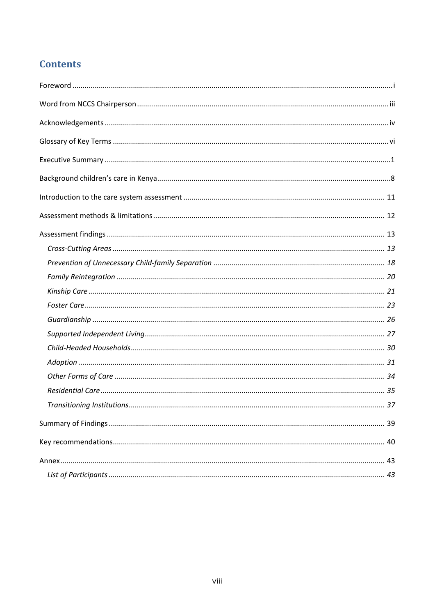### **Contents**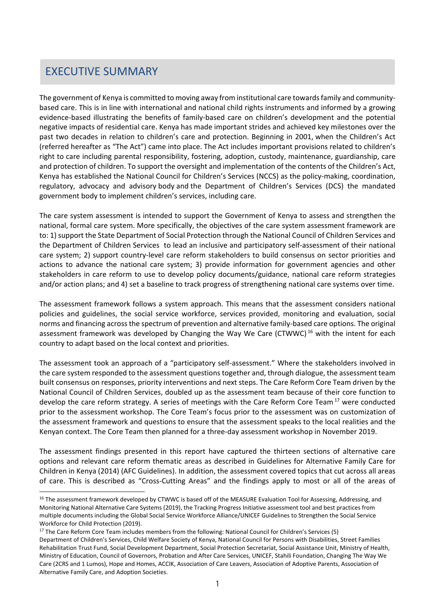#### <span id="page-10-0"></span>EXECUTIVE SUMMA EXECUTIVE SUMMARY

The government of Kenya is committed to moving away from institutional care towards family and communitybased care. This is in line with international and national child rights instruments and informed by a growing evidence-based illustrating the benefits of family-based care on children's development and the potential negative impacts of residential care. Kenya has made important strides and achieved key milestones over the past two decades in relation to children's care and protection. Beginning in 2001, when the Children's Act (referred hereafter as "The Act") came into place. The Act includes important provisions related to children's right to care including parental responsibility, fostering, adoption, custody, maintenance, guardianship, care and protection of children. To support the oversight and implementation of the contents of the Children's Act, Kenya has established the National Council for Children's Services (NCCS) as the policy-making, coordination, regulatory, advocacy and advisory body and the Department of Children's Services (DCS) the mandated government body to implement children's services, including care.

The care system assessment is intended to support the Government of Kenya to assess and strengthen the national, formal care system. More specifically, the objectives of the care system assessment framework are to: 1) support the State Department of Social Protection through the National Council of Children Services and the Department of Children Services to lead an inclusive and participatory self-assessment of their national care system; 2) support country-level care reform stakeholders to build consensus on sector priorities and actions to advance the national care system; 3) provide information for government agencies and other stakeholders in care reform to use to develop policy documents/guidance, national care reform strategies and/or action plans; and 4) set a baseline to track progress of strengthening national care systems over time.

The assessment framework follows a system approach. This means that the assessment considers national policies and guidelines, the social service workforce, services provided, monitoring and evaluation, social norms and financing across the spectrum of prevention and alternative family-based care options. The original assessment framework was developed by Changing the Way We Care (CTWWC)<sup>[16](#page-10-1)</sup> with the intent for each country to adapt based on the local context and priorities.

The assessment took an approach of a "participatory self-assessment." Where the stakeholders involved in the care system responded to the assessment questions together and, through dialogue, the assessment team built consensus on responses, priority interventions and next steps. The Care Reform Core Team driven by the National Council of Children Services, doubled up as the assessment team because of their core function to develop the care reform strategy. A series of meetings with the Care Reform Core Team<sup>[17](#page-10-2)</sup> were conducted prior to the assessment workshop. The Core Team's focus prior to the assessment was on customization of the assessment framework and questions to ensure that the assessment speaks to the local realities and the Kenyan context. The Core Team then planned for a three-day assessment workshop in November 2019.

The assessment findings presented in this report have captured the thirteen sections of alternative care options and relevant care reform thematic areas as described in Guidelines for Alternative Family Care for Children in Kenya (2014) (AFC Guidelines). In addition, the assessment covered topics that cut across all areas of care. This is described as "Cross-Cutting Areas" and the findings apply to most or all of the areas of

<span id="page-10-1"></span><sup>&</sup>lt;sup>16</sup> The assessment framework developed by CTWWC is based off of the MEASURE Evaluation Tool for Assessing, Addressing, and Monitoring National Alternative Care Systems (2019), the Tracking Progress Initiative assessment tool and best practices from multiple documents including the Global Social Service Workforce Alliance/UNICEF Guidelines to Strengthen the Social Service Workforce for Child Protection (2019).

<span id="page-10-2"></span><sup>&</sup>lt;sup>17</sup> The Care Reform Core Team includes members from the following: National Council for Children's Services (5)

Department of Children's Services, Child Welfare Society of Kenya, National Council for Persons with Disabilities, Street Families Rehabilitation Trust Fund, Social Development Department, Social Protection Secretariat, Social Assistance Unit, Ministry of Health, Ministry of Education, Council of Governors, Probation and After Care Services, UNICEF, Stahili Foundation, Changing The Way We Care (2CRS and 1 Lumos), Hope and Homes, ACCIK, Association of Care Leavers, Association of Adoptive Parents, Association of Alternative Family Care, and Adoption Societies.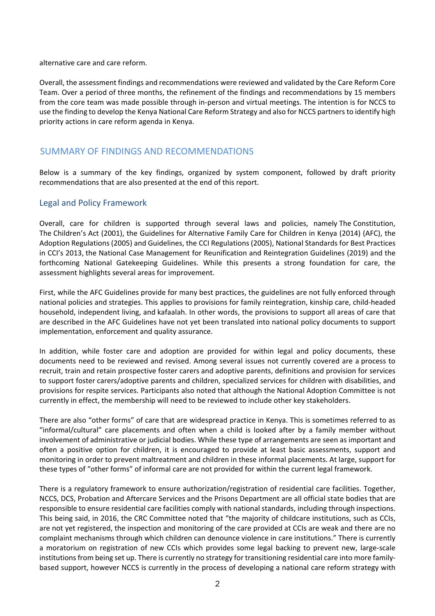alternative care and care reform.

Overall, the assessment findings and recommendations were reviewed and validated by the Care Reform Core Team. Over a period of three months, the refinement of the findings and recommendations by 15 members from the core team was made possible through in-person and virtual meetings. The intention is for NCCS to use the finding to develop the Kenya National Care Reform Strategy and also for NCCS partners to identify high priority actions in care reform agenda in Kenya.

### **Summary of Findings and Recommendations** SUMMARY OF FINDINGS AND RECOMMENDATIONS

Below is a summary of the key findings, organized by system component, followed by draft priority recommendations that are also presented at the end of this report.

#### Legal and Policy Framework

Overall, care for children is supported through several laws and policies, namely The Constitution, The Children's Act (2001), the Guidelines for Alternative Family Care for Children in Kenya (2014) (AFC), the Adoption Regulations (2005) and Guidelines, the CCI Regulations (2005), National Standards for Best Practices in CCI's 2013, the National Case Management for Reunification and Reintegration Guidelines (2019) and the forthcoming National Gatekeeping Guidelines. While this presents a strong foundation for care, the assessment highlights several areas for improvement.

First, while the AFC Guidelines provide for many best practices, the guidelines are not fully enforced through national policies and strategies. This applies to provisions for family reintegration, kinship care, child-headed household, independent living, and kafaalah. In other words, the provisions to support all areas of care that are described in the AFC Guidelines have not yet been translated into national policy documents to support implementation, enforcement and quality assurance.

In addition, while foster care and adoption are provided for within legal and policy documents, these documents need to be reviewed and revised. Among several issues not currently covered are a process to recruit, train and retain prospective foster carers and adoptive parents, definitions and provision for services to support foster carers/adoptive parents and children, specialized services for children with disabilities, and provisions for respite services. Participants also noted that although the National Adoption Committee is not currently in effect, the membership will need to be reviewed to include other key stakeholders.

There are also "other forms" of care that are widespread practice in Kenya. This is sometimes referred to as "informal/cultural" care placements and often when a child is looked after by a family member without involvement of administrative or judicial bodies. While these type of arrangements are seen as important and often a positive option for children, it is encouraged to provide at least basic assessments, support and monitoring in order to prevent maltreatment and children in these informal placements. At large, support for these types of "other forms" of informal care are not provided for within the current legal framework.

There is a regulatory framework to ensure authorization/registration of residential care facilities. Together, NCCS, DCS, Probation and Aftercare Services and the Prisons Department are all official state bodies that are responsible to ensure residential care facilities comply with national standards, including through inspections. This being said, in 2016, the CRC Committee noted that "the majority of childcare institutions, such as CCIs, are not yet registered, the inspection and monitoring of the care provided at CCIs are weak and there are no complaint mechanisms through which children can denounce violence in care institutions." There is currently a moratorium on registration of new CCIs which provides some legal backing to prevent new, large-scale institutions from being set up. There is currently no strategy for transitioning residential care into more familybased support, however NCCS is currently in the process of developing a national care reform strategy with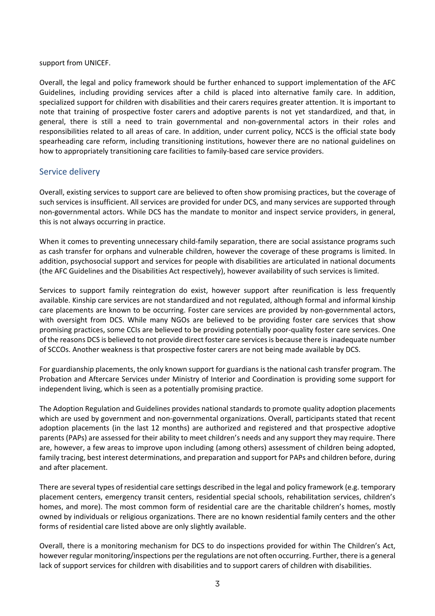support from UNICEF.

Overall, the legal and policy framework should be further enhanced to support implementation of the AFC Guidelines, including providing services after a child is placed into alternative family care. In addition, specialized support for children with disabilities and their carers requires greater attention. It is important to note that training of prospective foster carers and adoptive parents is not yet standardized, and that, in general, there is still a need to train governmental and non-governmental actors in their roles and responsibilities related to all areas of care. In addition, under current policy, NCCS is the official state body spearheading care reform, including transitioning institutions, however there are no national guidelines on how to appropriately transitioning care facilities to family-based care service providers.

#### Service delivery

Overall, existing services to support care are believed to often show promising practices, but the coverage of such services is insufficient. All services are provided for under DCS, and many services are supported through non-governmental actors. While DCS has the mandate to monitor and inspect service providers, in general, this is not always occurring in practice.

When it comes to preventing unnecessary child-family separation, there are social assistance programs such as cash transfer for orphans and vulnerable children, however the coverage of these programs is limited. In addition, psychosocial support and services for people with disabilities are articulated in national documents (the AFC Guidelines and the Disabilities Act respectively), however availability of such services is limited.

Services to support family reintegration do exist, however support after reunification is less frequently available. Kinship care services are not standardized and not regulated, although formal and informal kinship care placements are known to be occurring. Foster care services are provided by non-governmental actors, with oversight from DCS. While many NGOs are believed to be providing foster care services that show promising practices, some CCIs are believed to be providing potentially poor-quality foster care services. One of the reasons DCS is believed to not provide direct foster care services is because there is inadequate number of SCCOs. Another weakness is that prospective foster carers are not being made available by DCS.

For guardianship placements, the only known support for guardians is the national cash transfer program. The Probation and Aftercare Services under Ministry of Interior and Coordination is providing some support for independent living, which is seen as a potentially promising practice.

The Adoption Regulation and Guidelines provides national standards to promote quality adoption placements which are used by government and non-governmental organizations. Overall, participants stated that recent adoption placements (in the last 12 months) are authorized and registered and that prospective adoptive parents (PAPs) are assessed for their ability to meet children's needs and any support they may require. There are, however, a few areas to improve upon including (among others) assessment of children being adopted, family tracing, best interest determinations, and preparation and support for PAPs and children before, during and after placement.

There are several types of residential care settings described in the legal and policy framework (e.g. temporary placement centers, emergency transit centers, residential special schools, rehabilitation services, children's homes, and more). The most common form of residential care are the charitable children's homes, mostly owned by individuals or religious organizations. There are no known residential family centers and the other forms of residential care listed above are only slightly available.

Overall, there is a monitoring mechanism for DCS to do inspections provided for within The Children's Act, however regular monitoring/inspections per the regulations are not often occurring. Further, there is a general lack of support services for children with disabilities and to support carers of children with disabilities.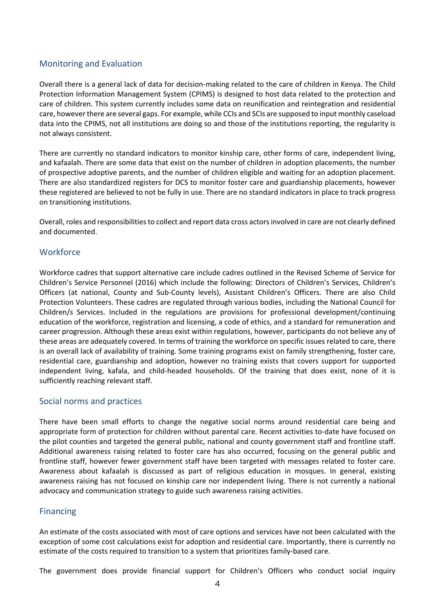#### Monitoring and Evaluation

Overall there is a general lack of data for decision-making related to the care of children in Kenya. The Child Protection Information Management System (CPIMS) is designed to host data related to the protection and care of children. This system currently includes some data on reunification and reintegration and residential care, however there are several gaps. For example, while CCIs and SCIs are supposed to input monthly caseload data into the CPIMS, not all institutions are doing so and those of the institutions reporting, the regularity is not always consistent.

There are currently no standard indicators to monitor kinship care, other forms of care, independent living, and kafaalah. There are some data that exist on the number of children in adoption placements, the number of prospective adoptive parents, and the number of children eligible and waiting for an adoption placement. There are also standardized registers for DCS to monitor foster care and guardianship placements, however these registered are believed to not be fully in use. There are no standard indicators in place to track progress on transitioning institutions.

Overall, roles and responsibilities to collect and report data cross actors involved in care are not clearly defined and documented.

#### **Workforce**

Workforce cadres that support alternative care include cadres outlined in the Revised Scheme of Service for Children's Service Personnel (2016) which include the following: Directors of Children's Services, Children's Officers (at national, County and Sub-County levels), Assistant Children's Officers. There are also Child Protection Volunteers. These cadres are regulated through various bodies, including the National Council for Children/s Services. Included in the regulations are provisions for professional development/continuing education of the workforce, registration and licensing, a code of ethics, and a standard for remuneration and career progression. Although these areas exist within regulations, however, participants do not believe any of these areas are adequately covered. In terms of training the workforce on specific issues related to care, there is an overall lack of availability of training. Some training programs exist on family strengthening, foster care, residential care, guardianship and adoption, however no training exists that covers support for supported independent living, kafala, and child-headed households. Of the training that does exist, none of it is sufficiently reaching relevant staff.

#### Social norms and practices

There have been small efforts to change the negative social norms around residential care being and appropriate form of protection for children without parental care. Recent activities to-date have focused on the pilot counties and targeted the general public, national and county government staff and frontline staff. Additional awareness raising related to foster care has also occurred, focusing on the general public and frontline staff, however fewer government staff have been targeted with messages related to foster care. Awareness about kafaalah is discussed as part of religious education in mosques. In general, existing awareness raising has not focused on kinship care nor independent living. There is not currently a national advocacy and communication strategy to guide such awareness raising activities.

#### Financing

An estimate of the costs associated with most of care options and services have not been calculated with the exception of some cost calculations exist for adoption and residential care. Importantly, there is currently no estimate of the costs required to transition to a system that prioritizes family-based care.

The government does provide financial support for Children's Officers who conduct social inquiry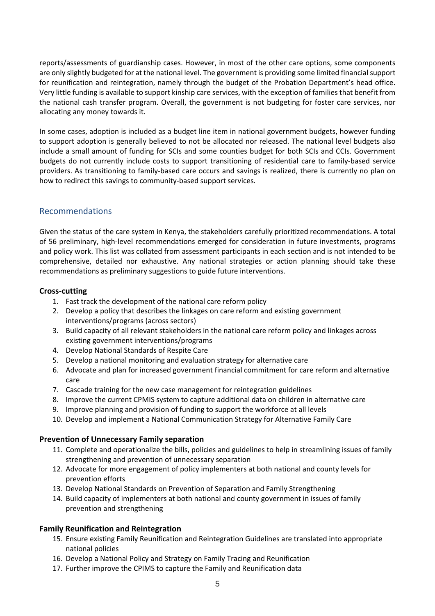reports/assessments of guardianship cases. However, in most of the other care options, some components are only slightly budgeted for at the national level. The government is providing some limited financial support for reunification and reintegration, namely through the budget of the Probation Department's head office. Very little funding is available to support kinship care services, with the exception of families that benefit from the national cash transfer program. Overall, the government is not budgeting for foster care services, nor allocating any money towards it.

In some cases, adoption is included as a budget line item in national government budgets, however funding to support adoption is generally believed to not be allocated nor released. The national level budgets also include a small amount of funding for SCIs and some counties budget for both SCIs and CCIs. Government budgets do not currently include costs to support transitioning of residential care to family-based service providers. As transitioning to family-based care occurs and savings is realized, there is currently no plan on how to redirect this savings to community-based support services.

#### Recommendations

Given the status of the care system in Kenya, the stakeholders carefully prioritized recommendations. A total of 56 preliminary, high-level recommendations emerged for consideration in future investments, programs and policy work. This list was collated from assessment participants in each section and is not intended to be comprehensive, detailed nor exhaustive. Any national strategies or action planning should take these recommendations as preliminary suggestions to guide future interventions.

#### **Cross-cutting**

- 1. Fast track the development of the national care reform policy
- 2. Develop a policy that describes the linkages on care reform and existing government interventions/programs (across sectors)
- 3. Build capacity of all relevant stakeholders in the national care reform policy and linkages across existing government interventions/programs
- 4. Develop National Standards of Respite Care
- 5. Develop a national monitoring and evaluation strategy for alternative care
- 6. Advocate and plan for increased government financial commitment for care reform and alternative care
- 7. Cascade training for the new case management for reintegration guidelines
- 8. Improve the current CPMIS system to capture additional data on children in alternative care
- 9. Improve planning and provision of funding to support the workforce at all levels
- 10. Develop and implement a National Communication Strategy for Alternative Family Care

#### **Prevention of Unnecessary Family separation**

- 11. Complete and operationalize the bills, policies and guidelines to help in streamlining issues of family strengthening and prevention of unnecessary separation
- 12. Advocate for more engagement of policy implementers at both national and county levels for prevention efforts
- 13. Develop National Standards on Prevention of Separation and Family Strengthening
- 14. Build capacity of implementers at both national and county government in issues of family prevention and strengthening

#### **Family Reunification and Reintegration**

- 15. Ensure existing Family Reunification and Reintegration Guidelines are translated into appropriate national policies
- 16. Develop a National Policy and Strategy on Family Tracing and Reunification
- 17. Further improve the CPIMS to capture the Family and Reunification data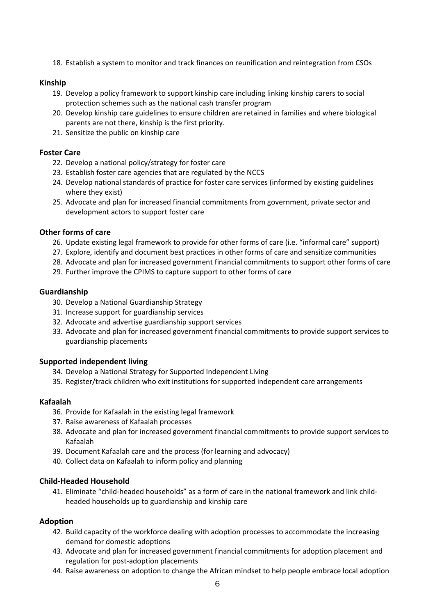18. Establish a system to monitor and track finances on reunification and reintegration from CSOs

#### **Kinship**

- 19. Develop a policy framework to support kinship care including linking kinship carers to social protection schemes such as the national cash transfer program
- 20. Develop kinship care guidelines to ensure children are retained in families and where biological parents are not there, kinship is the first priority.
- 21. Sensitize the public on kinship care

#### **Foster Care**

- 22. Develop a national policy/strategy for foster care
- 23. Establish foster care agencies that are regulated by the NCCS
- 24. Develop national standards of practice for foster care services (informed by existing guidelines where they exist)
- 25. Advocate and plan for increased financial commitments from government, private sector and development actors to support foster care

#### **Other forms of care**

- 26. Update existing legal framework to provide for other forms of care (i.e. "informal care" support)
- 27. Explore, identify and document best practices in other forms of care and sensitize communities
- 28. Advocate and plan for increased government financial commitments to support other forms of care
- 29. Further improve the CPIMS to capture support to other forms of care

#### **Guardianship**

- 30. Develop a National Guardianship Strategy
- 31. Increase support for guardianship services
- 32. Advocate and advertise guardianship support services
- 33. Advocate and plan for increased government financial commitments to provide support services to guardianship placements

#### **Supported independent living**

- 34. Develop a National Strategy for Supported Independent Living
- 35. Register/track children who exit institutions for supported independent care arrangements

#### **Kafaalah**

- 36. Provide for Kafaalah in the existing legal framework
- 37. Raise awareness of Kafaalah processes
- 38. Advocate and plan for increased government financial commitments to provide support services to Kafaalah
- 39. Document Kafaalah care and the process (for learning and advocacy)
- 40. Collect data on Kafaalah to inform policy and planning

#### **Child-Headed Household**

41. Eliminate "child-headed households" as a form of care in the national framework and link childheaded households up to guardianship and kinship care

#### **Adoption**

- 42. Build capacity of the workforce dealing with adoption processes to accommodate the increasing demand for domestic adoptions
- 43. Advocate and plan for increased government financial commitments for adoption placement and regulation for post-adoption placements
- 44. Raise awareness on adoption to change the African mindset to help people embrace local adoption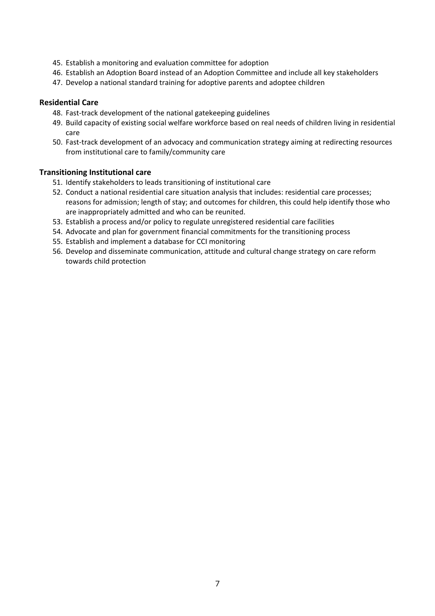- 45. Establish a monitoring and evaluation committee for adoption
- 46. Establish an Adoption Board instead of an Adoption Committee and include all key stakeholders
- 47. Develop a national standard training for adoptive parents and adoptee children

#### **Residential Care**

- 48. Fast-track development of the national gatekeeping guidelines
- 49. Build capacity of existing social welfare workforce based on real needs of children living in residential care
- 50. Fast-track development of an advocacy and communication strategy aiming at redirecting resources from institutional care to family/community care

#### **Transitioning Institutional care**

- 51. Identify stakeholders to leads transitioning of institutional care
- 52. Conduct a national residential care situation analysis that includes: residential care processes; reasons for admission; length of stay; and outcomes for children, this could help identify those who are inappropriately admitted and who can be reunited.
- 53. Establish a process and/or policy to regulate unregistered residential care facilities
- 54. Advocate and plan for government financial commitments for the transitioning process
- 55. Establish and implement a database for CCI monitoring
- 56. Develop and disseminate communication, attitude and cultural change strategy on care reform towards child protection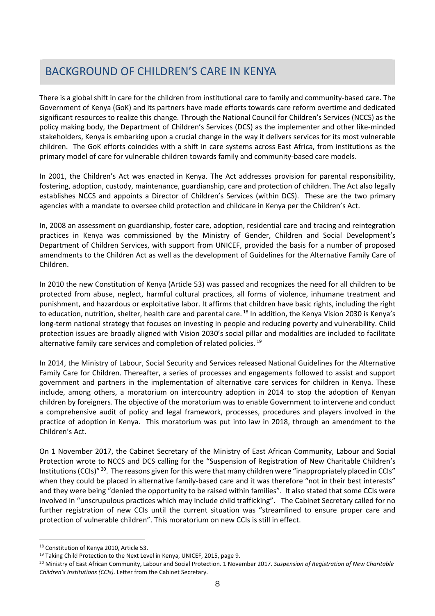#### <span id="page-17-0"></span>BACKGROUND OF CHILDREN'S CAR BACKGROUND OF CHILDREN'S CARE IN KENYA

There is a global shift in care for the children from institutional care to family and community-based care. The Government of Kenya (GoK) and its partners have made efforts towards care reform overtime and dedicated significant resources to realize this change. Through the National Council for Children's Services (NCCS) as the policy making body, the Department of Children's Services (DCS) as the implementer and other like-minded stakeholders, Kenya is embarking upon a crucial change in the way it delivers services for its most vulnerable children. The GoK efforts coincides with a shift in care systems across East Africa, from institutions as the primary model of care for vulnerable children towards family and community-based care models.

In 2001, the Children's Act was enacted in Kenya. The Act addresses provision for parental responsibility, fostering, adoption, custody, maintenance, guardianship, care and protection of children. The Act also legally establishes NCCS and appoints a Director of Children's Services (within DCS). These are the two primary agencies with a mandate to oversee child protection and childcare in Kenya per the Children's Act.

In, 2008 an assessment on guardianship, foster care, adoption, residential care and tracing and reintegration practices in Kenya was commissioned by the Ministry of Gender, Children and Social Development's Department of Children Services, with support from UNICEF, provided the basis for a number of proposed amendments to the Children Act as well as the development of Guidelines for the Alternative Family Care of Children.

In 2010 the new Constitution of Kenya (Article 53) was passed and recognizes the need for all children to be protected from abuse, neglect, harmful cultural practices, all forms of violence, inhumane treatment and punishment, and hazardous or exploitative labor. It affirms that children have basic rights, including the right to education, nutrition, shelter, health care and parental care.<sup>[18](#page-17-1)</sup> In addition, the Kenya Vision 2030 is Kenya's long-term national strategy that focuses on investing in people and reducing poverty and vulnerability. Child protection issues are broadly aligned with Vision 2030's social pillar and modalities are included to facilitate alternative family care services and completion of related policies. [19](#page-17-2)

In 2014, the Ministry of Labour, Social Security and Services released National Guidelines for the Alternative Family Care for Children. Thereafter, a series of processes and engagements followed to assist and support government and partners in the implementation of alternative care services for children in Kenya. These include, among others, a moratorium on intercountry adoption in 2014 to stop the adoption of Kenyan children by foreigners. The objective of the moratorium was to enable Government to intervene and conduct a comprehensive audit of policy and legal framework, processes, procedures and players involved in the practice of adoption in Kenya. This moratorium was put into law in 2018, through an amendment to the Children's Act.

On 1 November 2017, the Cabinet Secretary of the Ministry of East African Community, Labour and Social Protection wrote to NCCS and DCS calling for the "Suspension of Registration of New Charitable Children's Institutions (CCIs)<sup>" [20](#page-17-3)</sup>. The reasons given for this were that many children were "inappropriately placed in CCIs" when they could be placed in alternative family-based care and it was therefore "not in their best interests" and they were being "denied the opportunity to be raised within families". It also stated that some CCIs were involved in "unscrupulous practices which may include child trafficking". The Cabinet Secretary called for no further registration of new CCIs until the current situation was "streamlined to ensure proper care and protection of vulnerable children". This moratorium on new CCIs is still in effect.

<span id="page-17-1"></span><sup>18</sup> Constitution of Kenya 2010, Article 53.

<span id="page-17-2"></span><sup>&</sup>lt;sup>19</sup> Taking Child Protection to the Next Level in Kenya, UNICEF, 2015, page 9.

<span id="page-17-3"></span><sup>20</sup> Ministry of East African Community, Labour and Social Protection. 1 November 2017. *Suspension of Registration of New Charitable Children's Institutions (CCIs)*. Letter from the Cabinet Secretary.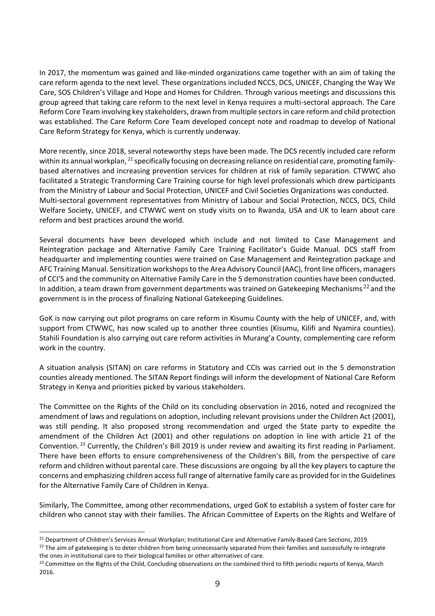In 2017, the momentum was gained and like-minded organizations came together with an aim of taking the care reform agenda to the next level. These organizations included NCCS, DCS, UNICEF, Changing the Way We Care, SOS Children's Village and Hope and Homes for Children. Through various meetings and discussions this group agreed that taking care reform to the next level in Kenya requires a multi-sectoral approach. The Care Reform Core Team involving key stakeholders, drawn from multiple sectorsin care reform and child protection was established. The Care Reform Core Team developed concept note and roadmap to develop of National Care Reform Strategy for Kenya, which is currently underway.

More recently, since 2018, several noteworthy steps have been made. The DCS recently included care reform within its annual workplan, <sup>[21](#page-18-0)</sup> specifically focusing on decreasing reliance on residential care, promoting familybased alternatives and increasing prevention services for children at risk of family separation. CTWWC also facilitated a Strategic Transforming Care Training course for high level professionals which drew participants from the Ministry of Labour and Social Protection, UNICEF and Civil Societies Organizations was conducted. Multi-sectoral government representatives from Ministry of Labour and Social Protection, NCCS, DCS, Child Welfare Society, UNICEF, and CTWWC went on study visits on to Rwanda, USA and UK to learn about care reform and best practices around the world.

Several documents have been developed which include and not limited to Case Management and Reintegration package and Alternative Family Care Training Facilitator's Guide Manual. DCS staff from headquarter and implementing counties were trained on Case Management and Reintegration package and AFC Training Manual. Sensitization workshops to the Area Advisory Council (AAC), front line officers, managers of CCI'S and the community on Alternative Family Care in the 5 demonstration counties have been conducted. In addition, a team drawn from government departments was trained on Gatekeeping Mechanisms<sup>[22](#page-18-1)</sup> and the government is in the process of finalizing National Gatekeeping Guidelines.

GoK is now carrying out pilot programs on care reform in Kisumu County with the help of UNICEF, and, with support from CTWWC, has now scaled up to another three counties (Kisumu, Kilifi and Nyamira counties). Stahili Foundation is also carrying out care reform activities in Murang'a County, complementing care reform work in the country.

A situation analysis (SITAN) on care reforms in Statutory and CCIs was carried out in the 5 demonstration counties already mentioned. The SITAN Report findings will inform the development of National Care Reform Strategy in Kenya and priorities picked by various stakeholders.

The Committee on the Rights of the Child on its concluding observation in 2016, noted and recognized the amendment of laws and regulations on adoption, including relevant provisions under the Children Act (2001), was still pending. It also proposed strong recommendation and urged the State party to expedite the amendment of the Children Act (2001) and other regulations on adoption in line with article 21 of the Convention. [23](#page-18-2) Currently, the Children's Bill 2019 is under review and awaiting its first reading in Parliament. There have been efforts to ensure comprehensiveness of the Children's Bill, from the perspective of care reform and children without parental care. These discussions are ongoing by all the key players to capture the concerns and emphasizing children access full range of alternative family care as provided for in the Guidelines for the Alternative Family Care of Children in Kenya.

Similarly, The Committee, among other recommendations, urged GoK to establish a system of foster care for children who cannot stay with their families. The African Committee of Experts on the Rights and Welfare of

<span id="page-18-1"></span><span id="page-18-0"></span><sup>&</sup>lt;sup>21</sup> Department of Children's Services Annual Workplan; Institutional Care and Alternative Family-Based Care Sections, 2019.<br><sup>22</sup> The aim of gatekeeping is to deter children from being unnecessarily separated from their fa the ones in institutional care to their biological families or other alternatives of care.

<span id="page-18-2"></span><sup>&</sup>lt;sup>23</sup> Committee on the Rights of the Child, Concluding observations on the combined third to fifth periodic reports of Kenya, March 2016.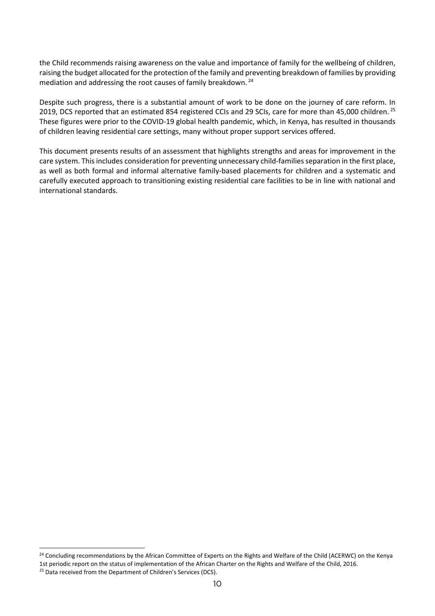the Child recommends raising awareness on the value and importance of family for the wellbeing of children, raising the budget allocated for the protection of the family and preventing breakdown of families by providing mediation and addressing the root causes of family breakdown. [24](#page-19-0)

Despite such progress, there is a substantial amount of work to be done on the journey of care reform. In 2019, DCS reported that an estimated 854 registered CCIs and 29 SCIs, care for more than 45,000 children. <sup>[25](#page-19-1)</sup> These figures were prior to the COVID-19 global health pandemic, which, in Kenya, has resulted in thousands of children leaving residential care settings, many without proper support services offered.

This document presents results of an assessment that highlights strengths and areas for improvement in the care system. This includes consideration for preventing unnecessary child-families separation in the first place, as well as both formal and informal alternative family-based placements for children and a systematic and carefully executed approach to transitioning existing residential care facilities to be in line with national and international standards.

<span id="page-19-0"></span><sup>&</sup>lt;sup>24</sup> Concluding recommendations by the African Committee of Experts on the Rights and Welfare of the Child (ACERWC) on the Kenya 1st periodic report on the status of implementation of the African Charter on the Rights and Welfare of the Child, 2016.

<span id="page-19-1"></span><sup>&</sup>lt;sup>25</sup> Data received from the Department of Children's Services (DCS).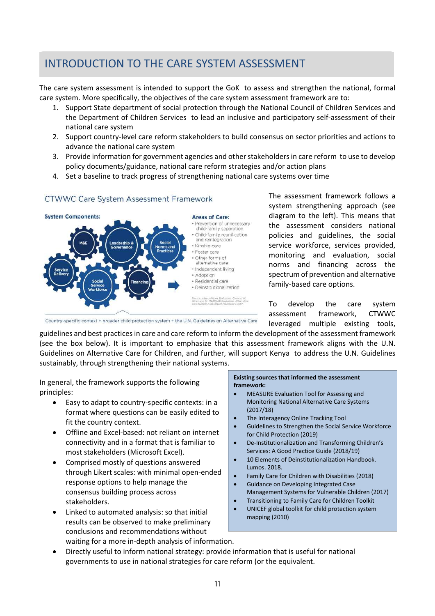# <span id="page-20-0"></span>Introduction to the care system assessment INTRODUCTION TO THE CARE SYSTEM ASSESSMENT

The care system assessment is intended to support the GoK to assess and strengthen the national, formal care system. More specifically, the objectives of the care system assessment framework are to:

- 1. Support State department of social protection through the National Council of Children Services and the Department of Children Services to lead an inclusive and participatory self-assessment of their national care system
- 2. Support country-level care reform stakeholders to build consensus on sector priorities and actions to advance the national care system
- 3. Provide information for government agencies and other stakeholders in care reform to use to develop policy documents/guidance, national care reform strategies and/or action plans
- 4. Set a baseline to track progress of strengthening national care systems over time

#### **CTWWC Care System Assessment Framework**



The assessment framework follows a system strengthening approach (see diagram to the left). This means that the assessment considers national policies and guidelines, the social service workforce, services provided, monitoring and evaluation, social norms and financing across the spectrum of prevention and alternative family-based care options.

To develop the care system assessment framework, CTWWC leveraged multiple existing tools,

Country-specific context + broader child protection system + the U.N. Guidelines on Alternative Care

guidelines and best practices in care and care reform to inform the development of the assessment framework (see the box below). It is important to emphasize that this assessment framework aligns with the U.N. Guidelines on Alternative Care for Children, and further, will support Kenya to address the U.N. Guidelines sustainably, through strengthening their national systems.

In general, the framework supports the following principles:

- Easy to adapt to country-specific contexts: in a format where questions can be easily edited to fit the country context.
- Offline and Excel-based: not reliant on internet connectivity and in a format that is familiar to most stakeholders (Microsoft Excel).
- Comprised mostly of questions answered through Likert scales: with minimal open-ended response options to help manage the consensus building process across stakeholders.
- Linked to automated analysis: so that initial results can be observed to make preliminary conclusions and recommendations without waiting for a more in-depth analysis of information.

**Existing sources that informed the assessment framework:**

- MEASURE Evaluation Tool for Assessing and Monitoring National Alternative Care Systems (2017/18)
- The Interagency Online Tracking Tool
- Guidelines to Strengthen the Social Service Workforce for Child Protection (2019)
- De-Institutionalization and Transforming Children's Services: A Good Practice Guide (2018/19)
- 10 Elements of Deinstitutionalization Handbook. Lumos. 2018.
- Family Care for Children with Disabilities (2018)
- Guidance on Developing Integrated Case Management Systems for Vulnerable Children (2017)
- Transitioning to Family Care for Children Toolkit
- UNICEF global toolkit for child protection system mapping (2010)
- Directly useful to inform national strategy: provide information that is useful for national governments to use in national strategies for care reform (or the equivalent.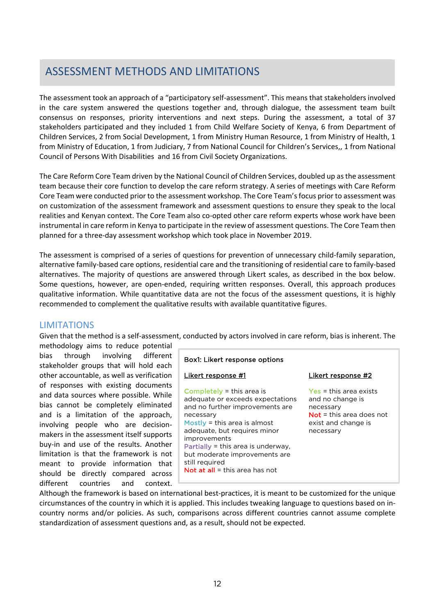#### <span id="page-21-0"></span>ASSESSMENT METHODS AND LIM ASSESSMENT METHODS AND LIMITATIONS

The assessment took an approach of a "participatory self-assessment". This means that stakeholders involved in the care system answered the questions together and, through dialogue, the assessment team built consensus on responses, priority interventions and next steps. During the assessment, a total of 37 stakeholders participated and they included 1 from Child Welfare Society of Kenya, 6 from Department of Children Services, 2 from Social Development, 1 from Ministry Human Resource, 1 from Ministry of Health, 1 from Ministry of Education, 1 from Judiciary, 7 from National Council for Children's Services,, 1 from National Council of Persons With Disabilities and 16 from Civil Society Organizations.

The Care Reform Core Team driven by the National Council of Children Services, doubled up as the assessment team because their core function to develop the care reform strategy. A series of meetings with Care Reform Core Team were conducted prior to the assessment workshop. The Core Team's focus prior to assessment was on customization of the assessment framework and assessment questions to ensure they speak to the local realities and Kenyan context. The Core Team also co-opted other care reform experts whose work have been instrumental in care reform in Kenya to participate in the review of assessment questions. The Core Team then planned for a three-day assessment workshop which took place in November 2019.

The assessment is comprised of a series of questions for prevention of unnecessary child-family separation, alternative family-based care options, residential care and the transitioning of residential care to family-based alternatives. The majority of questions are answered through Likert scales, as described in the box below. Some questions, however, are open-ended, requiring written responses. Overall, this approach produces qualitative information. While quantitative data are not the focus of the assessment questions, it is highly recommended to complement the qualitative results with available quantitative figures.

#### LIMITATIONS

Given that the method is a self-assessment, conducted by actors involved in care reform, bias is inherent. The

methodology aims to reduce potential bias through involving different stakeholder groups that will hold each other accountable, as well as verification of responses with existing documents and data sources where possible. While bias cannot be completely eliminated and is a limitation of the approach, involving people who are decisionmakers in the assessment itself supports buy-in and use of the results. Another limitation is that the framework is not meant to provide information that should be directly compared across different countries and context.

| Box1: Likert response options |  |  |
|-------------------------------|--|--|
|-------------------------------|--|--|

#### Likert response #1

Completely = this area is adequate or exceeds expectations and no further improvements are necessary Mostly = this area is almost adequate, but requires minor improvements Partially = this area is underway, but moderate improvements are still required Not at all = this area has not

#### Likert response #2

Yes = this area exists and no change is necessary Not = this area does not exist and change is necessary

Although the framework is based on international best-practices, it is meant to be customized for the unique circumstances of the country in which it is applied. This includes tweaking language to questions based on incountry norms and/or policies. As such, comparisons across different countries cannot assume complete standardization of assessment questions and, as a result, should not be expected.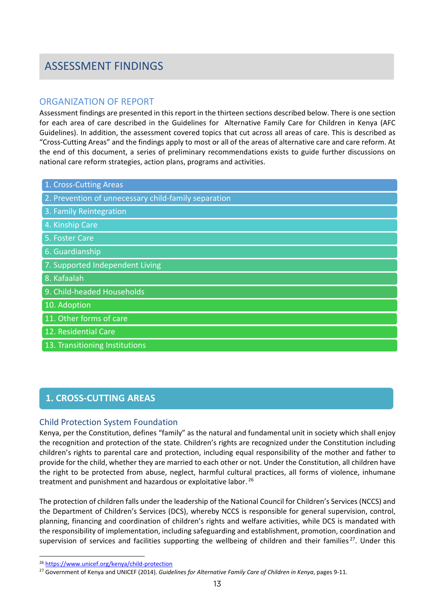## <span id="page-22-0"></span>Assessment findings ASSESSMENT FINDINGS

#### ORGANIZATION OF REPORT

Assessment findings are presented in this report in the thirteen sections described below. There is one section for each area of care described in the Guidelines for Alternative Family Care for Children in Kenya (AFC Guidelines). In addition, the assessment covered topics that cut across all areas of care. This is described as "Cross-Cutting Areas" and the findings apply to most or all of the areas of alternative care and care reform. At the end of this document, a series of preliminary recommendations exists to guide further discussions on national care reform strategies, action plans, programs and activities.

| 1. Cross-Cutting Areas |
|------------------------|
|------------------------|

- 2. Prevention of unnecessary child-family separation
- 3. Family Reintegration
- 4. Kinship Care
- 5. Foster Care
- 6. Guardianship
- 7. Supported Independent Living
- 8. Kafaalah
- 9. Child-headed Households
- 10. Adoption
- 11. Other forms of care
- 12. Residential Care
- 13. Transitioning Institutions

### <span id="page-22-1"></span>*Cross-Cutting Areas* **1. CROSS-CUTTING AREAS**

#### Child Protection System Foundation

Kenya, per the Constitution, defines "family" as the natural and fundamental unit in society which shall enjoy the recognition and protection of the state. Children's rights are recognized under the Constitution including children's rights to parental care and protection, including equal responsibility of the mother and father to provide for the child, whether they are married to each other or not. Under the Constitution, all children have the right to be protected from abuse, neglect, harmful cultural practices, all forms of violence, inhumane treatment and punishment and hazardous or exploitative labor.<sup>[26](#page-22-2)</sup>

The protection of children falls under the leadership of the National Council for Children's Services (NCCS) and the Department of Children's Services (DCS), whereby NCCS is responsible for general supervision, control, planning, financing and coordination of children's rights and welfare activities, while DCS is mandated with the responsibility of implementation, including safeguarding and establishment, promotion, coordination and supervision of services and facilities supporting the wellbeing of children and their families<sup>[27](#page-22-3)</sup>. Under this

<span id="page-22-2"></span><sup>26</sup> <https://www.unicef.org/kenya/child-protection>

<span id="page-22-3"></span><sup>27</sup> Government of Kenya and UNICEF (2014). *Guidelines for Alternative Family Care of Children in Kenya*, pages 9-11.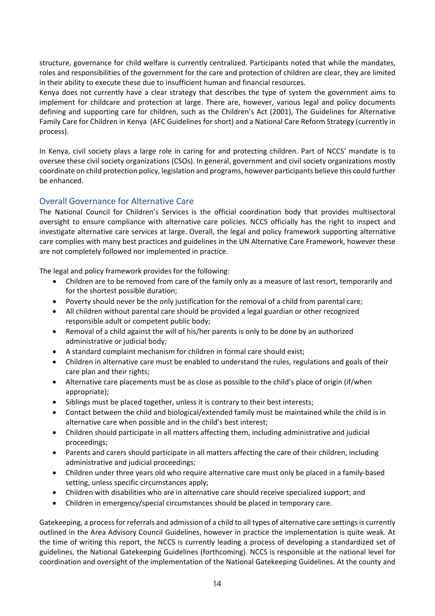structure, governance for child welfare is currently centralized. Participants noted that while the mandates, roles and responsibilities of the government for the care and protection of children are clear, they are limited in their ability to execute these due to insufficient human and financial resources.

Kenya does not currently have a clear strategy that describes the type of system the government aims to implement for childcare and protection at large. There are, however, various legal and policy documents defining and supporting care for children, such as the Children's Act (2001), The Guidelines for Alternative Family Care for Children in Kenya (AFC Guidelines for short) and a National Care Reform Strategy (currently in process).

In Kenya, civil society plays a large role in caring for and protecting children. Part of NCCS' mandate is to oversee these civil society organizations (CSOs). In general, government and civil society organizations mostly coordinate on child protection policy, legislation and programs, however participants believe this could further be enhanced.

#### Overall Governance for Alternative Care

The National Council for Children's Services is the official coordination body that provides multisectoral oversight to ensure compliance with alternative care policies. NCCS officially has the right to inspect and investigate alternative care services at large. Overall, the legal and policy framework supporting alternative care complies with many best practices and guidelines in the UN Alternative Care Framework, however these are not completely followed nor implemented in practice.

The legal and policy framework provides for the following:

- Children are to be removed from care of the family only as a measure of last resort, temporarily and for the shortest possible duration;
- Poverty should never be the only justification for the removal of a child from parental care;
- All children without parental care should be provided a legal guardian or other recognized responsible adult or competent public body;
- Removal of a child against the will of his/her parents is only to be done by an authorized administrative or judicial body;
- A standard complaint mechanism for children in formal care should exist;
- Children in alternative care must be enabled to understand the rules, regulations and goals of their care plan and their rights;
- Alternative care placements must be as close as possible to the child's place of origin (if/when appropriate);
- Siblings must be placed together, unless it is contrary to their best interests;
- Contact between the child and biological/extended family must be maintained while the child is in alternative care when possible and in the child's best interest;
- Children should participate in all matters affecting them, including administrative and judicial proceedings;
- Parents and carers should participate in all matters affecting the care of their children, including administrative and judicial proceedings;
- Children under three years old who require alternative care must only be placed in a family-based setting, unless specific circumstances apply;
- Children with disabilities who are in alternative care should receive specialized support; and
- Children in emergency/special circumstances should be placed in temporary care.

Gatekeeping, a process for referrals and admission of a child to all types of alternative care settings is currently outlined in the Area Advisory Council Guidelines, however in practice the implementation is quite weak. At the time of writing this report, the NCCS is currently leading a process of developing a standardized set of guidelines, the National Gatekeeping Guidelines (forthcoming). NCCS is responsible at the national level for coordination and oversight of the implementation of the National Gatekeeping Guidelines. At the county and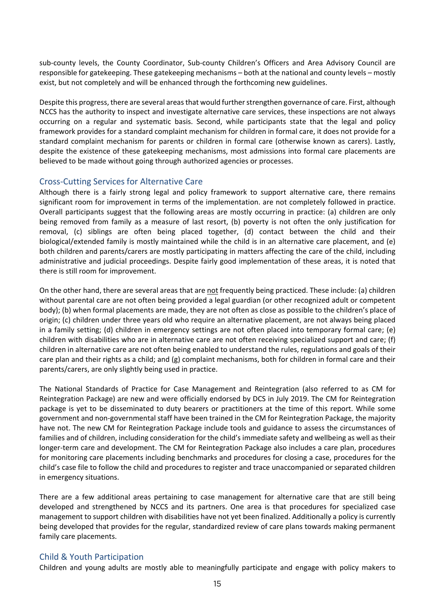sub-county levels, the County Coordinator, Sub-county Children's Officers and Area Advisory Council are responsible for gatekeeping. These gatekeeping mechanisms – both at the national and county levels – mostly exist, but not completely and will be enhanced through the forthcoming new guidelines.

Despite this progress, there are several areas that would further strengthen governance of care. First, although NCCS has the authority to inspect and investigate alternative care services, these inspections are not always occurring on a regular and systematic basis. Second, while participants state that the legal and policy framework provides for a standard complaint mechanism for children in formal care, it does not provide for a standard complaint mechanism for parents or children in formal care (otherwise known as carers). Lastly, despite the existence of these gatekeeping mechanisms, most admissions into formal care placements are believed to be made without going through authorized agencies or processes.

#### Cross-Cutting Services for Alternative Care

Although there is a fairly strong legal and policy framework to support alternative care, there remains significant room for improvement in terms of the implementation. are not completely followed in practice. Overall participants suggest that the following areas are mostly occurring in practice: (a) children are only being removed from family as a measure of last resort, (b) poverty is not often the only justification for removal, (c) siblings are often being placed together, (d) contact between the child and their biological/extended family is mostly maintained while the child is in an alternative care placement, and (e) both children and parents/carers are mostly participating in matters affecting the care of the child, including administrative and judicial proceedings. Despite fairly good implementation of these areas, it is noted that there is still room for improvement.

On the other hand, there are several areas that are not frequently being practiced. These include: (a) children without parental care are not often being provided a legal guardian (or other recognized adult or competent body); (b) when formal placements are made, they are not often as close as possible to the children's place of origin; (c) children under three years old who require an alternative placement, are not always being placed in a family setting; (d) children in emergency settings are not often placed into temporary formal care; (e) children with disabilities who are in alternative care are not often receiving specialized support and care; (f) children in alternative care are not often being enabled to understand the rules, regulations and goals of their care plan and their rights as a child; and (g) complaint mechanisms, both for children in formal care and their parents/carers, are only slightly being used in practice.

The National Standards of Practice for Case Management and Reintegration (also referred to as CM for Reintegration Package) are new and were officially endorsed by DCS in July 2019. The CM for Reintegration package is yet to be disseminated to duty bearers or practitioners at the time of this report. While some government and non-governmental staff have been trained in the CM for Reintegration Package, the majority have not. The new CM for Reintegration Package include tools and guidance to assess the circumstances of families and of children, including consideration for the child's immediate safety and wellbeing as well as their longer-term care and development. The CM for Reintegration Package also includes a care plan, procedures for monitoring care placements including benchmarks and procedures for closing a case, procedures for the child's case file to follow the child and procedures to register and trace unaccompanied or separated children in emergency situations.

There are a few additional areas pertaining to case management for alternative care that are still being developed and strengthened by NCCS and its partners. One area is that procedures for specialized case management to support children with disabilities have not yet been finalized. Additionally a policy is currently being developed that provides for the regular, standardized review of care plans towards making permanent family care placements.

#### Child & Youth Participation

Children and young adults are mostly able to meaningfully participate and engage with policy makers to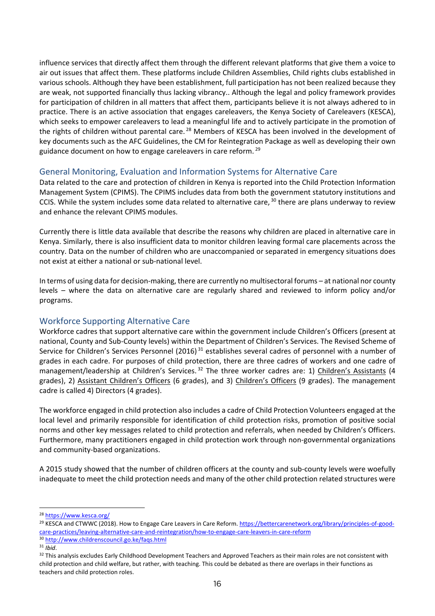influence services that directly affect them through the different relevant platforms that give them a voice to air out issues that affect them. These platforms include Children Assemblies, Child rights clubs established in various schools. Although they have been establishment, full participation has not been realized because they are weak, not supported financially thus lacking vibrancy.. Although the legal and policy framework provides for participation of children in all matters that affect them, participants believe it is not always adhered to in practice. There is an active association that engages careleavers, the Kenya Society of Careleavers (KESCA), which seeks to empower careleavers to lead a meaningful life and to actively participate in the promotion of the rights of children without parental care.<sup>[28](#page-25-0)</sup> Members of KESCA has been involved in the development of key documents such as the AFC Guidelines, the CM for Reintegration Package as well as developing their own guidance document on how to engage careleavers in care reform. [29](#page-25-1)

#### General Monitoring, Evaluation and Information Systems for Alternative Care

Data related to the care and protection of children in Kenya is reported into the Child Protection Information Management System (CPIMS). The CPIMS includes data from both the government statutory institutions and CCIS. While the system includes some data related to alternative care, [30](#page-25-2) there are plans underway to review and enhance the relevant CPIMS modules.

Currently there is little data available that describe the reasons why children are placed in alternative care in Kenya. Similarly, there is also insufficient data to monitor children leaving formal care placements across the country. Data on the number of children who are unaccompanied or separated in emergency situations does not exist at either a national or sub-national level.

In terms of using data for decision-making, there are currently no multisectoral forums – at national nor county levels – where the data on alternative care are regularly shared and reviewed to inform policy and/or programs.

#### Workforce Supporting Alternative Care

Workforce cadres that support alternative care within the government include Children's Officers (present at national, County and Sub-County levels) within the Department of Children's Services. The Revised Scheme of Service for Children's Services Personnel (2016)<sup>[31](#page-25-3)</sup> establishes several cadres of personnel with a number of grades in each cadre. For purposes of child protection, there are three cadres of workers and one cadre of management/leadership at Children's Services.<sup>[32](#page-25-4)</sup> The three worker cadres are: 1) Children's Assistants (4 grades), 2) Assistant Children's Officers (6 grades), and 3) Children's Officers (9 grades). The management cadre is called 4) Directors (4 grades).

The workforce engaged in child protection also includes a cadre of Child Protection Volunteers engaged at the local level and primarily responsible for identification of child protection risks, promotion of positive social norms and other key messages related to child protection and referrals, when needed by Children's Officers. Furthermore, many practitioners engaged in child protection work through non-governmental organizations and community-based organizations.

A 2015 study showed that the number of children officers at the county and sub-county levels were woefully inadequate to meet the child protection needs and many of the other child protection related structures were

<span id="page-25-0"></span><sup>28</sup> <https://www.kesca.org/>

<span id="page-25-1"></span><sup>&</sup>lt;sup>29</sup> KESCA and CTWWC (2018). How to Engage Care Leavers in Care Reform. [https://bettercarenetwork.org/library/principles-of-good](https://bettercarenetwork.org/library/principles-of-good-care-practices/leaving-alternative-care-and-reintegration/how-to-engage-care-leavers-in-care-reform)[care-practices/leaving-alternative-care-and-reintegration/how-to-engage-care-leavers-in-care-reform](https://bettercarenetwork.org/library/principles-of-good-care-practices/leaving-alternative-care-and-reintegration/how-to-engage-care-leavers-in-care-reform)

<span id="page-25-2"></span><sup>30</sup> <http://www.childrenscouncil.go.ke/faqs.html>

<span id="page-25-4"></span><span id="page-25-3"></span><sup>&</sup>lt;sup>31</sup> *Ibid*.<br><sup>32</sup> This analysis excludes Early Childhood Development Teachers and Approved Teachers as their main roles are not consistent with child protection and child welfare, but rather, with teaching. This could be debated as there are overlaps in their functions as teachers and child protection roles.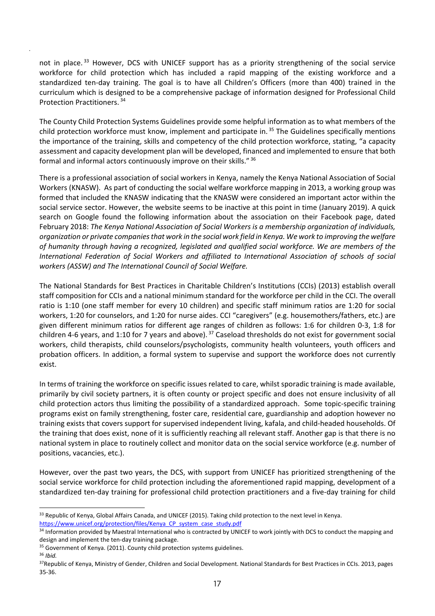not in place.<sup>[33](#page-26-0)</sup> However, DCS with UNICEF support has as a priority strengthening of the social service workforce for child protection which has included a rapid mapping of the existing workforce and a standardized ten-day training. The goal is to have all Children's Officers (more than 400) trained in the curriculum which is designed to be a comprehensive package of information designed for Professional Child Protection Practitioners. [34](#page-26-1)

.

The County Child Protection Systems Guidelines provide some helpful information as to what members of the child protection workforce must know, implement and participate in. [35](#page-26-2) The Guidelines specifically mentions the importance of the training, skills and competency of the child protection workforce, stating, "a capacity assessment and capacity development plan will be developed, financed and implemented to ensure that both formal and informal actors continuously improve on their skills." [36](#page-26-3)

There is a professional association of social workers in Kenya, namely the Kenya National Association of Social Workers (KNASW). As part of conducting the social welfare workforce mapping in 2013, a working group was formed that included the KNASW indicating that the KNASW were considered an important actor within the social service sector. However, the website seems to be inactive at this point in time (January 2019). A quick search on Google found the following information about the association on their Facebook page, dated February 2018: *The Kenya National Association of Social Workers is a membership organization of individuals, organization or private companies that work in the social work field in Kenya. We work to improving the welfare of humanity through having a recognized, legislated and qualified social workforce. We are members of the International Federation of Social Workers and affiliated to International Association of schools of social workers (ASSW) and The International Council of Social Welfare.*

The National Standards for Best Practices in Charitable Children's Institutions (CCIs) (2013) establish overall staff composition for CCIs and a national minimum standard for the workforce per child in the CCI. The overall ratio is 1:10 (one staff member for every 10 children) and specific staff minimum ratios are 1:20 for social workers, 1:20 for counselors, and 1:20 for nurse aides. CCI "caregivers" (e.g. housemothers/fathers, etc.) are given different minimum ratios for different age ranges of children as follows: 1:6 for children 0-3, 1:8 for children 4-6 years, and 1:10 for 7 years and above). <sup>[37](#page-26-4)</sup> Caseload thresholds do not exist for government social workers, child therapists, child counselors/psychologists, community health volunteers, youth officers and probation officers. In addition, a formal system to supervise and support the workforce does not currently exist.

In terms of training the workforce on specific issues related to care, whilst sporadic training is made available, primarily by civil society partners, it is often county or project specific and does not ensure inclusivity of all child protection actors thus limiting the possibility of a standardized approach. Some topic-specific training programs exist on family strengthening, foster care, residential care, guardianship and adoption however no training exists that covers support for supervised independent living, kafala, and child-headed households. Of the training that does exist, none of it is sufficiently reaching all relevant staff. Another gap is that there is no national system in place to routinely collect and monitor data on the social service workforce (e.g. number of positions, vacancies, etc.).

However, over the past two years, the DCS, with support from UNICEF has prioritized strengthening of the social service workforce for child protection including the aforementioned rapid mapping, development of a standardized ten-day training for professional child protection practitioners and a five-day training for child

[https://www.unicef.org/protection/files/Kenya\\_CP\\_system\\_case\\_study.pdf](https://www.unicef.org/protection/files/Kenya_CP_system_case_study.pdf)

<span id="page-26-0"></span><sup>33</sup> Republic of Kenya, Global Affairs Canada, and UNICEF (2015). Taking child protection to the next level in Kenya.

<span id="page-26-1"></span><sup>34</sup> Information provided by Maestral International who is contracted by UNICEF to work jointly with DCS to conduct the mapping and design and implement the ten-day training package.

<span id="page-26-3"></span><span id="page-26-2"></span><sup>&</sup>lt;sup>35</sup> Government of Kenya. (2011). County child protection systems guidelines. <sup>36</sup> *Ibid.*

<span id="page-26-4"></span><sup>3</sup>[7Republic](https://bettercarenetwork.org/sites/default/files/National%20Standards%20for%20Best%20Practices%20in%20Charitable%20Children%27s%20Institutions.pdf) of Kenya, Ministry of Gender, Children and Social Development. National Standards for Best Practices in CCIs. 2013, pages 35-36.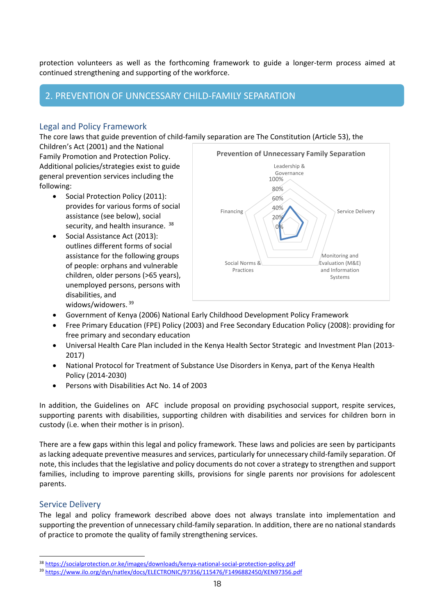protection volunteers as well as the forthcoming framework to guide a longer-term process aimed at continued strengthening and supporting of the workforce.

### <span id="page-27-0"></span>*Prevention of Unnecessary Child-family Separation* 2. PREVENTION OF UNNCESSARY CHILD-FAMILY SEPARATION

#### Legal and Policy Framework

The core laws that guide prevention of child-family separation are The Constitution (Article 53), the

Children's Act (2001) and the National Family Promotion and Protection Policy. Additional policies/strategies exist to guide general prevention services including the following:

- Social Protection Policy (2011): provides for various forms of social assistance (see below), social security, and health insurance. [38](#page-27-1)
- Social Assistance Act (2013): outlines different forms of social assistance for the following groups of people: orphans and vulnerable children, older persons (>65 years), unemployed persons, persons with disabilities, and widows/widowers. [39](#page-27-2)



- Government of Kenya (2006) National Early Childhood Development Policy Framework
- Free Primary Education (FPE) Policy (2003) and Free Secondary Education Policy (2008): providing for free primary and secondary education
- Universal Health Care Plan included in the Kenya Health Sector Strategic and Investment Plan (2013- 2017)
- National Protocol for Treatment of Substance Use Disorders in Kenya, part of the Kenya Health Policy (2014-2030)
- Persons with Disabilities Act No. 14 of 2003

In addition, the Guidelines on AFC include proposal on providing psychosocial support, respite services, supporting parents with disabilities, supporting children with disabilities and services for children born in custody (i.e. when their mother is in prison).

There are a few gaps within this legal and policy framework. These laws and policies are seen by participants as lacking adequate preventive measures and services, particularly for unnecessary child-family separation. Of note, this includes that the legislative and policy documents do not cover a strategy to strengthen and support families, including to improve parenting skills, provisions for single parents nor provisions for adolescent parents.

#### Service Delivery

The legal and policy framework described above does not always translate into implementation and supporting the prevention of unnecessary child-family separation. In addition, there are no national standards of practice to promote the quality of family strengthening services.

<span id="page-27-1"></span><sup>38</sup> <https://socialprotection.or.ke/images/downloads/kenya-national-social-protection-policy.pdf>

<span id="page-27-2"></span><sup>39</sup> <https://www.ilo.org/dyn/natlex/docs/ELECTRONIC/97356/115476/F1496882450/KEN97356.pdf>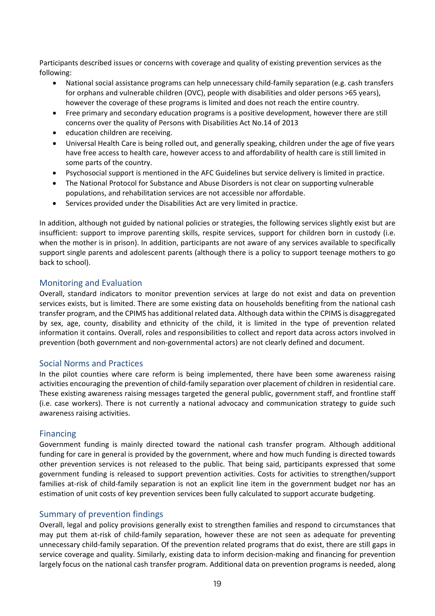Participants described issues or concerns with coverage and quality of existing prevention services as the following:

- National social assistance programs can help unnecessary child-family separation (e.g. cash transfers for orphans and vulnerable children (OVC), people with disabilities and older persons >65 years), however the coverage of these programs is limited and does not reach the entire country.
- Free primary and secondary education programs is a positive development, however there are still concerns over the quality of Persons with Disabilities Act No.14 of 2013
- education children are receiving.
- Universal Health Care is being rolled out, and generally speaking, children under the age of five years have free access to health care, however access to and affordability of health care is still limited in some parts of the country.
- Psychosocial support is mentioned in the AFC Guidelines but service delivery is limited in practice.
- The National Protocol for Substance and Abuse Disorders is not clear on supporting vulnerable populations, and rehabilitation services are not accessible nor affordable.
- Services provided under the Disabilities Act are very limited in practice.

In addition, although not guided by national policies or strategies, the following services slightly exist but are insufficient: support to improve parenting skills, respite services, support for children born in custody (i.e. when the mother is in prison). In addition, participants are not aware of any services available to specifically support single parents and adolescent parents (although there is a policy to support teenage mothers to go back to school).

#### Monitoring and Evaluation

Overall, standard indicators to monitor prevention services at large do not exist and data on prevention services exists, but is limited. There are some existing data on households benefiting from the national cash transfer program, and the CPIMS has additional related data. Although data within the CPIMS is disaggregated by sex, age, county, disability and ethnicity of the child, it is limited in the type of prevention related information it contains. Overall, roles and responsibilities to collect and report data across actors involved in prevention (both government and non-governmental actors) are not clearly defined and document.

#### Social Norms and Practices

In the pilot counties where care reform is being implemented, there have been some awareness raising activities encouraging the prevention of child-family separation over placement of children in residential care. These existing awareness raising messages targeted the general public, government staff, and frontline staff (i.e. case workers). There is not currently a national advocacy and communication strategy to guide such awareness raising activities.

#### Financing

Government funding is mainly directed toward the national cash transfer program. Although additional funding for care in general is provided by the government, where and how much funding is directed towards other prevention services is not released to the public. That being said, participants expressed that some government funding is released to support prevention activities. Costs for activities to strengthen/support families at-risk of child-family separation is not an explicit line item in the government budget nor has an estimation of unit costs of key prevention services been fully calculated to support accurate budgeting.

#### Summary of prevention findings

Overall, legal and policy provisions generally exist to strengthen families and respond to circumstances that may put them at-risk of child-family separation, however these are not seen as adequate for preventing unnecessary child-family separation. Of the prevention related programs that do exist, there are still gaps in service coverage and quality. Similarly, existing data to inform decision-making and financing for prevention largely focus on the national cash transfer program. Additional data on prevention programs is needed, along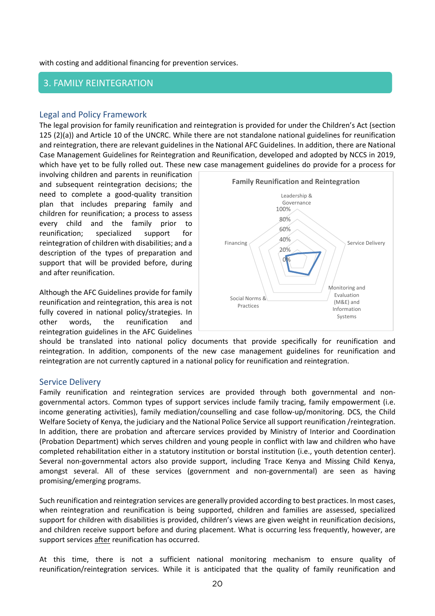with costing and additional financing for prevention services.

#### <span id="page-29-0"></span>*Family Reintegration*  3. FAMILY REINTEGRATION

#### Legal and Policy Framework

The legal provision for family reunification and reintegration is provided for under the Children's Act (section 125 (2)(a)) and Article 10 of the UNCRC. While there are not standalone national guidelines for reunification and reintegration, there are relevant guidelines in the National AFC Guidelines. In addition, there are National Case Management Guidelines for Reintegration and Reunification, developed and adopted by NCCS in 2019, which have yet to be fully rolled out. These new case management guidelines do provide for a process for

involving children and parents in reunification and subsequent reintegration decisions; the need to complete a good-quality transition plan that includes preparing family and children for reunification; a process to assess every child and the family prior to reunification; specialized support for reintegration of children with disabilities; and a description of the types of preparation and support that will be provided before, during and after reunification.

Although the AFC Guidelines provide for family reunification and reintegration, this area is not fully covered in national policy/strategies. In other words, the reunification and reintegration guidelines in the AFC Guidelines



should be translated into national policy documents that provide specifically for reunification and reintegration. In addition, components of the new case management guidelines for reunification and reintegration are not currently captured in a national policy for reunification and reintegration.

#### Service Delivery

Family reunification and reintegration services are provided through both governmental and nongovernmental actors. Common types of support services include family tracing, family empowerment (i.e. income generating activities), family mediation/counselling and case follow-up/monitoring. DCS, the Child Welfare Society of Kenya, the judiciary and the National Police Service all support reunification /reintegration. In addition, there are probation and aftercare services provided by Ministry of Interior and Coordination (Probation Department) which serves children and young people in conflict with law and children who have completed rehabilitation either in a statutory institution or borstal institution (i.e., youth detention center). Several non-governmental actors also provide support, including Trace Kenya and Missing Child Kenya, amongst several. All of these services (government and non-governmental) are seen as having promising/emerging programs.

Such reunification and reintegration services are generally provided according to best practices. In most cases, when reintegration and reunification is being supported, children and families are assessed, specialized support for children with disabilities is provided, children's views are given weight in reunification decisions, and children receive support before and during placement. What is occurring less frequently, however, are support services after reunification has occurred.

At this time, there is not a sufficient national monitoring mechanism to ensure quality of reunification/reintegration services. While it is anticipated that the quality of family reunification and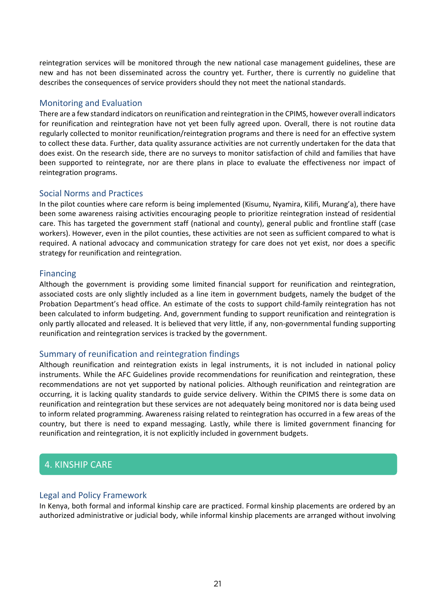reintegration services will be monitored through the new national case management guidelines, these are new and has not been disseminated across the country yet. Further, there is currently no guideline that describes the consequences of service providers should they not meet the national standards.

#### Monitoring and Evaluation

There are a few standard indicators on reunification and reintegration in the CPIMS, however overall indicators for reunification and reintegration have not yet been fully agreed upon. Overall, there is not routine data regularly collected to monitor reunification/reintegration programs and there is need for an effective system to collect these data. Further, data quality assurance activities are not currently undertaken for the data that does exist. On the research side, there are no surveys to monitor satisfaction of child and families that have been supported to reintegrate, nor are there plans in place to evaluate the effectiveness nor impact of reintegration programs.

#### Social Norms and Practices

In the pilot counties where care reform is being implemented (Kisumu, Nyamira, Kilifi, Murang'a), there have been some awareness raising activities encouraging people to prioritize reintegration instead of residential care. This has targeted the government staff (national and county), general public and frontline staff (case workers). However, even in the pilot counties, these activities are not seen as sufficient compared to what is required. A national advocacy and communication strategy for care does not yet exist, nor does a specific strategy for reunification and reintegration.

#### Financing

Although the government is providing some limited financial support for reunification and reintegration, associated costs are only slightly included as a line item in government budgets, namely the budget of the Probation Department's head office. An estimate of the costs to support child-family reintegration has not been calculated to inform budgeting. And, government funding to support reunification and reintegration is only partly allocated and released. It is believed that very little, if any, non-governmental funding supporting reunification and reintegration services is tracked by the government.

#### Summary of reunification and reintegration findings

Although reunification and reintegration exists in legal instruments, it is not included in national policy instruments. While the AFC Guidelines provide recommendations for reunification and reintegration, these recommendations are not yet supported by national policies. Although reunification and reintegration are occurring, it is lacking quality standards to guide service delivery. Within the CPIMS there is some data on reunification and reintegration but these services are not adequately being monitored nor is data being used to inform related programming. Awareness raising related to reintegration has occurred in a few areas of the country, but there is need to expand messaging. Lastly, while there is limited government financing for reunification and reintegration, it is not explicitly included in government budgets.

#### <span id="page-30-0"></span>**4. KINSHIP CARE**

#### Legal and Policy Framework

In Kenya, both formal and informal kinship care are practiced. Formal kinship placements are ordered by an authorized administrative or judicial body, while informal kinship placements are arranged without involving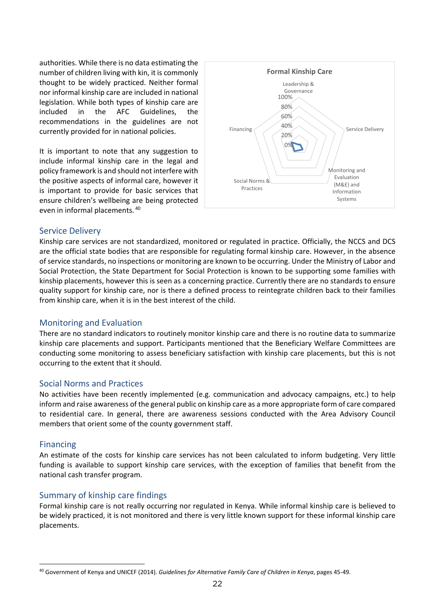authorities. While there is no data estimating the number of children living with kin, it is commonly thought to be widely practiced. Neither formal nor informal kinship care are included in national legislation. While both types of kinship care are included in the AFC Guidelines, the recommendations in the guidelines are not currently provided for in national policies.

It is important to note that any suggestion to include informal kinship care in the legal and policy framework is and should not interfere with the positive aspects of informal care, however it is important to provide for basic services that ensure children's wellbeing are being protected even in informal placements. [40](#page-31-0)



#### Service Delivery

Kinship care services are not standardized, monitored or regulated in practice. Officially, the NCCS and DCS are the official state bodies that are responsible for regulating formal kinship care. However, in the absence of service standards, no inspections or monitoring are known to be occurring. Under the Ministry of Labor and Social Protection, the State Department for Social Protection is known to be supporting some families with kinship placements, however this is seen as a concerning practice. Currently there are no standards to ensure quality support for kinship care, nor is there a defined process to reintegrate children back to their families from kinship care, when it is in the best interest of the child.

#### Monitoring and Evaluation

There are no standard indicators to routinely monitor kinship care and there is no routine data to summarize kinship care placements and support. Participants mentioned that the Beneficiary Welfare Committees are conducting some monitoring to assess beneficiary satisfaction with kinship care placements, but this is not occurring to the extent that it should.

#### Social Norms and Practices

No activities have been recently implemented (e.g. communication and advocacy campaigns, etc.) to help inform and raise awareness of the general public on kinship care as a more appropriate form of care compared to residential care. In general, there are awareness sessions conducted with the Area Advisory Council members that orient some of the county government staff.

#### Financing

An estimate of the costs for kinship care services has not been calculated to inform budgeting. Very little funding is available to support kinship care services, with the exception of families that benefit from the national cash transfer program.

#### Summary of kinship care findings

Formal kinship care is not really occurring nor regulated in Kenya. While informal kinship care is believed to be widely practiced, it is not monitored and there is very little known support for these informal kinship care placements.

<span id="page-31-0"></span><sup>40</sup> Government of Kenya and UNICEF (2014). *Guidelines for Alternative Family Care of Children in Kenya*, pages 45-49.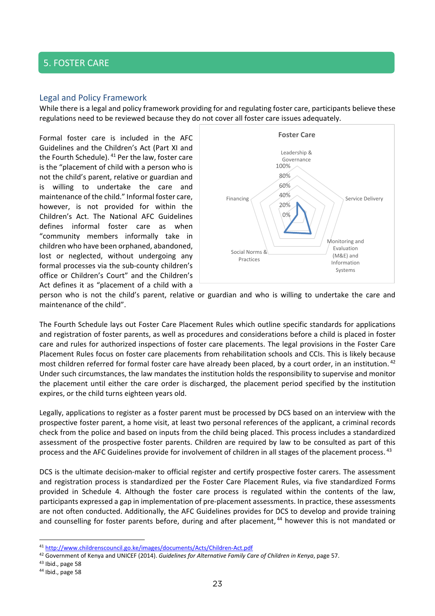#### <span id="page-32-0"></span>*Foster Care* 5. FOSTER CARE

#### Legal and Policy Framework

While there is a legal and policy framework providing for and regulating foster care, participants believe these regulations need to be reviewed because they do not cover all foster care issues adequately.

Formal foster care is included in the AFC Guidelines and the Children's Act (Part XI and the Fourth Schedule). <sup>[41](#page-32-1)</sup> Per the law, foster care is the "placement of child with a person who is not the child's parent, relative or guardian and is willing to undertake the care and maintenance of the child." Informal foster care, however, is not provided for within the Children's Act. The National AFC Guidelines defines informal foster care as when "community members informally take in children who have been orphaned, abandoned, lost or neglected, without undergoing any formal processes via the sub-county children's office or Children's Court" and the Children's Act defines it as "placement of a child with a



person who is not the child's parent, relative or guardian and who is willing to undertake the care and maintenance of the child".

The Fourth Schedule lays out Foster Care Placement Rules which outline specific standards for applications and registration of foster parents, as well as procedures and considerations before a child is placed in foster care and rules for authorized inspections of foster care placements. The legal provisions in the Foster Care Placement Rules focus on foster care placements from rehabilitation schools and CCIs. This is likely because most children referred for formal foster care have already been placed, by a court order, in an institution. <sup>[42](#page-32-2)</sup> Under such circumstances, the law mandates the institution holds the responsibility to supervise and monitor the placement until either the care order is discharged, the placement period specified by the institution expires, or the child turns eighteen years old.

Legally, applications to register as a foster parent must be processed by DCS based on an interview with the prospective foster parent, a home visit, at least two personal references of the applicant, a criminal records check from the police and based on inputs from the child being placed. This process includes a standardized assessment of the prospective foster parents. Children are required by law to be consulted as part of this process and the AFC Guidelines provide for involvement of children in all stages of the placement process. [43](#page-32-3)

DCS is the ultimate decision-maker to official register and certify prospective foster carers. The assessment and registration process is standardized per the Foster Care Placement Rules, via five standardized Forms provided in Schedule 4. Although the foster care process is regulated within the contents of the law, participants expressed a gap in implementation of pre-placement assessments. In practice, these assessments are not often conducted. Additionally, the AFC Guidelines provides for DCS to develop and provide training and counselling for foster parents before, during and after placement, <sup>[44](#page-32-4)</sup> however this is not mandated or

<span id="page-32-1"></span><sup>41</sup> <http://www.childrenscouncil.go.ke/images/documents/Acts/Children-Act.pdf>

<span id="page-32-2"></span><sup>42</sup> Government of Kenya and UNICEF (2014). *Guidelines for Alternative Family Care of Children in Kenya*, page 57.

<span id="page-32-3"></span><sup>43</sup> Ibid., page 58

<span id="page-32-4"></span><sup>44</sup> Ibid., page 58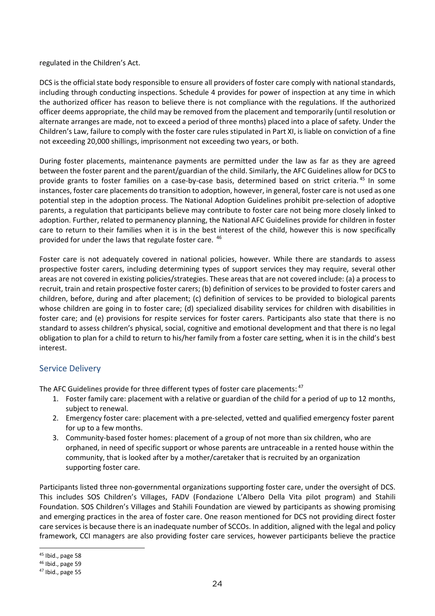regulated in the Children's Act.

DCS is the official state body responsible to ensure all providers of foster care comply with national standards, including through conducting inspections. Schedule 4 provides for power of inspection at any time in which the authorized officer has reason to believe there is not compliance with the regulations. If the authorized officer deems appropriate, the child may be removed from the placement and temporarily (until resolution or alternate arranges are made, not to exceed a period of three months) placed into a place of safety. Under the Children's Law, failure to comply with the foster care rules stipulated in Part XI, is liable on conviction of a fine not exceeding 20,000 shillings, imprisonment not exceeding two years, or both.

During foster placements, maintenance payments are permitted under the law as far as they are agreed between the foster parent and the parent/guardian of the child. Similarly, the AFC Guidelines allow for DCS to provide grants to foster families on a case-by-case basis, determined based on strict criteria. [45](#page-33-0) In some instances, foster care placements do transition to adoption, however, in general, foster care is not used as one potential step in the adoption process. The National Adoption Guidelines prohibit pre-selection of adoptive parents, a regulation that participants believe may contribute to foster care not being more closely linked to adoption. Further, related to permanency planning, the National AFC Guidelines provide for children in foster care to return to their families when it is in the best interest of the child, however this is now specifically provided for under the laws that regulate foster care. [46](#page-33-1)

Foster care is not adequately covered in national policies, however. While there are standards to assess prospective foster carers, including determining types of support services they may require, several other areas are not covered in existing policies/strategies. These areas that are not covered include: (a) a process to recruit, train and retain prospective foster carers; (b) definition of services to be provided to foster carers and children, before, during and after placement; (c) definition of services to be provided to biological parents whose children are going in to foster care; (d) specialized disability services for children with disabilities in foster care; and (e) provisions for respite services for foster carers. Participants also state that there is no standard to assess children's physical, social, cognitive and emotional development and that there is no legal obligation to plan for a child to return to his/her family from a foster care setting, when it is in the child's best interest.

#### Service Delivery

The AFC Guidelines provide for three different types of foster care placements: <sup>[47](#page-33-2)</sup>

- 1. Foster family care: placement with a relative or guardian of the child for a period of up to 12 months, subject to renewal.
- 2. Emergency foster care: placement with a pre-selected, vetted and qualified emergency foster parent for up to a few months.
- 3. Community-based foster homes: placement of a group of not more than six children, who are orphaned, in need of specific support or whose parents are untraceable in a rented house within the community, that is looked after by a mother/caretaker that is recruited by an organization supporting foster care.

Participants listed three non-governmental organizations supporting foster care, under the oversight of DCS. This includes SOS Children's Villages, FADV (Fondazione L'Albero Della Vita pilot program) and Stahili Foundation. SOS Children's Villages and Stahili Foundation are viewed by participants as showing promising and emerging practices in the area of foster care. One reason mentioned for DCS not providing direct foster care services is because there is an inadequate number of SCCOs. In addition, aligned with the legal and policy framework, CCI managers are also providing foster care services, however participants believe the practice

<span id="page-33-0"></span><sup>45</sup> Ibid., page 58

<span id="page-33-1"></span><sup>46</sup> Ibid., page 59

<span id="page-33-2"></span><sup>47</sup> Ibid., page 55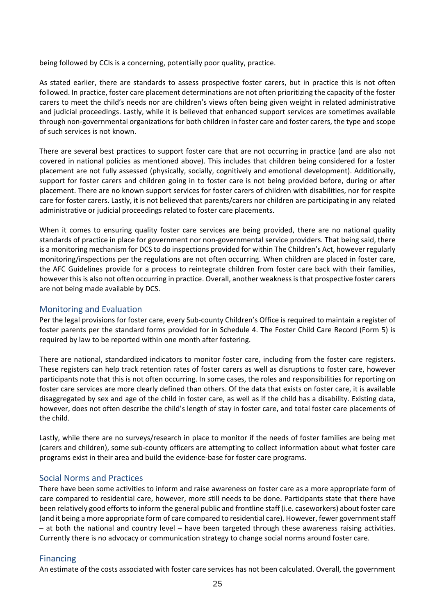being followed by CCIs is a concerning, potentially poor quality, practice.

As stated earlier, there are standards to assess prospective foster carers, but in practice this is not often followed. In practice, foster care placement determinations are not often prioritizing the capacity of the foster carers to meet the child's needs nor are children's views often being given weight in related administrative and judicial proceedings. Lastly, while it is believed that enhanced support services are sometimes available through non-governmental organizations for both children in foster care and foster carers, the type and scope of such services is not known.

There are several best practices to support foster care that are not occurring in practice (and are also not covered in national policies as mentioned above). This includes that children being considered for a foster placement are not fully assessed (physically, socially, cognitively and emotional development). Additionally, support for foster carers and children going in to foster care is not being provided before, during or after placement. There are no known support services for foster carers of children with disabilities, nor for respite care for foster carers. Lastly, it is not believed that parents/carers nor children are participating in any related administrative or judicial proceedings related to foster care placements.

When it comes to ensuring quality foster care services are being provided, there are no national quality standards of practice in place for government nor non-governmental service providers. That being said, there is a monitoring mechanism for DCS to do inspections provided for within The Children's Act, however regularly monitoring/inspections per the regulations are not often occurring. When children are placed in foster care, the AFC Guidelines provide for a process to reintegrate children from foster care back with their families, however this is also not often occurring in practice. Overall, another weakness is that prospective foster carers are not being made available by DCS.

#### Monitoring and Evaluation

Per the legal provisions for foster care, every Sub-county Children's Office is required to maintain a register of foster parents per the standard forms provided for in Schedule 4. The Foster Child Care Record (Form 5) is required by law to be reported within one month after fostering.

There are national, standardized indicators to monitor foster care, including from the foster care registers. These registers can help track retention rates of foster carers as well as disruptions to foster care, however participants note that this is not often occurring. In some cases, the roles and responsibilities for reporting on foster care services are more clearly defined than others. Of the data that exists on foster care, it is available disaggregated by sex and age of the child in foster care, as well as if the child has a disability. Existing data, however, does not often describe the child's length of stay in foster care, and total foster care placements of the child.

Lastly, while there are no surveys/research in place to monitor if the needs of foster families are being met (carers and children), some sub-county officers are attempting to collect information about what foster care programs exist in their area and build the evidence-base for foster care programs.

#### Social Norms and Practices

There have been some activities to inform and raise awareness on foster care as a more appropriate form of care compared to residential care, however, more still needs to be done. Participants state that there have been relatively good efforts to inform the general public and frontline staff (i.e. caseworkers) about foster care (and it being a more appropriate form of care compared to residential care). However, fewer government staff – at both the national and country level – have been targeted through these awareness raising activities. Currently there is no advocacy or communication strategy to change social norms around foster care.

#### Financing

An estimate of the costs associated with foster care services has not been calculated. Overall, the government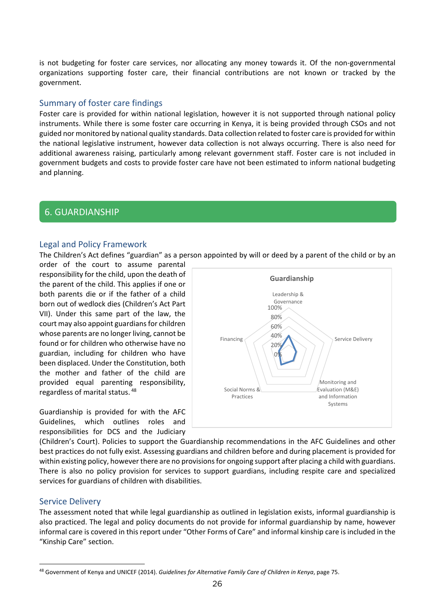is not budgeting for foster care services, nor allocating any money towards it. Of the non-governmental organizations supporting foster care, their financial contributions are not known or tracked by the government.

#### Summary of foster care findings

Foster care is provided for within national legislation, however it is not supported through national policy instruments. While there is some foster care occurring in Kenya, it is being provided through CSOs and not guided nor monitored by national quality standards. Data collection related to foster care is provided for within the national legislative instrument, however data collection is not always occurring. There is also need for additional awareness raising, particularly among relevant government staff. Foster care is not included in government budgets and costs to provide foster care have not been estimated to inform national budgeting and planning.

#### <span id="page-35-0"></span>*Guardianship* 6. GUARDIANSHIP

#### Legal and Policy Framework

The Children's Act defines "guardian" as a person appointed by will or deed by a parent of the child or by an

order of the court to assume parental responsibility for the child, upon the death of the parent of the child. This applies if one or both parents die or if the father of a child born out of wedlock dies (Children's Act Part VII). Under this same part of the law, the court may also appoint guardians for children whose parents are no longer living, cannot be found or for children who otherwise have no guardian, including for children who have been displaced. Under the Constitution, both the mother and father of the child are provided equal parenting responsibility, regardless of marital status. [48](#page-35-1)

Guardianship is provided for with the AFC Guidelines, which outlines roles and responsibilities for DCS and the Judiciary



(Children's Court). Policies to support the Guardianship recommendations in the AFC Guidelines and other best practices do not fully exist. Assessing guardians and children before and during placement is provided for within existing policy, however there are no provisions for ongoing support after placing a child with guardians. There is also no policy provision for services to support guardians, including respite care and specialized services for guardians of children with disabilities.

#### Service Delivery

The assessment noted that while legal guardianship as outlined in legislation exists, informal guardianship is also practiced. The legal and policy documents do not provide for informal guardianship by name, however informal care is covered in this report under "Other Forms of Care" and informal kinship care is included in the "Kinship Care" section.

<span id="page-35-1"></span><sup>48</sup> Government of Kenya and UNICEF (2014). *Guidelines for Alternative Family Care of Children in Kenya*, page 75.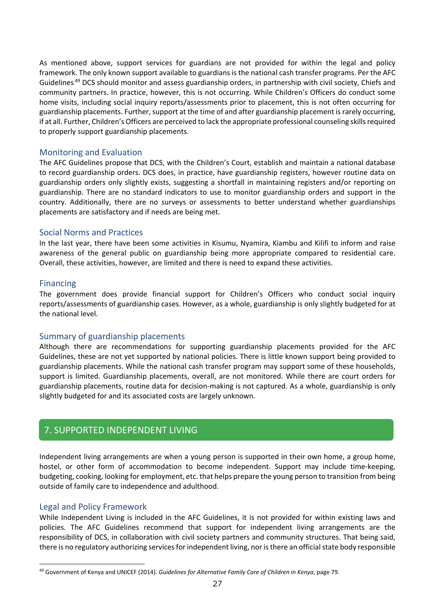As mentioned above, support services for guardians are not provided for within the legal and policy framework. The only known support available to guardians is the national cash transfer programs. Per the AFC Guidelines [49](#page-36-1) DCS should monitor and assess guardianship orders, in partnership with civil society, Chiefs and community partners. In practice, however, this is not occurring. While Children's Officers do conduct some home visits, including social inquiry reports/assessments prior to placement, this is not often occurring for guardianship placements. Further, support at the time of and after guardianship placement is rarely occurring, if at all. Further, Children's Officers are perceived to lack the appropriate professional counseling skills required to properly support guardianship placements.

#### Monitoring and Evaluation

The AFC Guidelines propose that DCS, with the Children's Court, establish and maintain a national database to record guardianship orders. DCS does, in practice, have guardianship registers, however routine data on guardianship orders only slightly exists, suggesting a shortfall in maintaining registers and/or reporting on guardianship. There are no standard indicators to use to monitor guardianship orders and support in the country. Additionally, there are no surveys or assessments to better understand whether guardianships placements are satisfactory and if needs are being met.

#### Social Norms and Practices

In the last year, there have been some activities in Kisumu, Nyamira, Kiambu and Kilifi to inform and raise awareness of the general public on guardianship being more appropriate compared to residential care. Overall, these activities, however, are limited and there is need to expand these activities.

#### Financing

The government does provide financial support for Children's Officers who conduct social inquiry reports/assessments of guardianship cases. However, as a whole, guardianship is only slightly budgeted for at the national level.

#### Summary of guardianship placements

Although there are recommendations for supporting guardianship placements provided for the AFC Guidelines, these are not yet supported by national policies. There is little known support being provided to guardianship placements. While the national cash transfer program may support some of these households, support is limited. Guardianship placements, overall, are not monitored. While there are court orders for guardianship placements, routine data for decision-making is not captured. As a whole, guardianship is only slightly budgeted for and its associated costs are largely unknown.

# <span id="page-36-0"></span>*Supported Independent Living*  7. SUPPORTED INDEPENDENT LIVING

Independent living arrangements are when a young person is supported in their own home, a group home, hostel, or other form of accommodation to become independent. Support may include time-keeping, budgeting, cooking, looking for employment, etc. that helps prepare the young person to transition from being outside of family care to independence and adulthood.

#### Legal and Policy Framework

While Independent Living is included in the AFC Guidelines, it is not provided for within existing laws and policies. The AFC Guidelines recommend that support for independent living arrangements are the responsibility of DCS, in collaboration with civil society partners and community structures. That being said, there is no regulatory authorizing services for independent living, nor is there an official state body responsible

<span id="page-36-1"></span><sup>49</sup> Government of Kenya and UNICEF (2014). *Guidelines for Alternative Family Care of Children in Kenya*, page 79.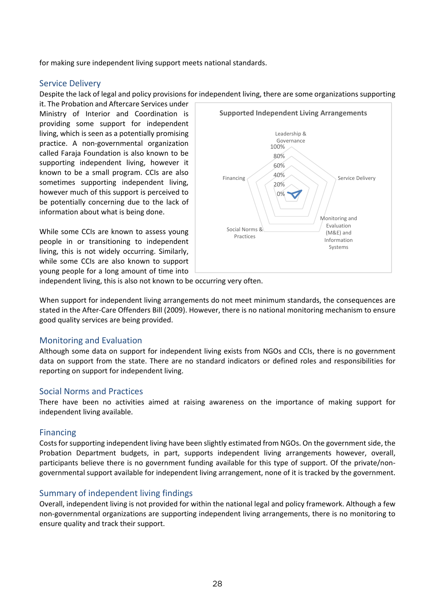for making sure independent living support meets national standards.

#### Service Delivery

Despite the lack of legal and policy provisions for independent living, there are some organizations supporting

it. The Probation and Aftercare Services under Ministry of Interior and Coordination is providing some support for independent living, which is seen as a potentially promising practice. A non-governmental organization called Faraja Foundation is also known to be supporting independent living, however it known to be a small program. CCIs are also sometimes supporting independent living, however much of this support is perceived to be potentially concerning due to the lack of information about what is being done.

While some CCIs are known to assess young people in or transitioning to independent living, this is not widely occurring. Similarly, while some CCIs are also known to support young people for a long amount of time into



independent living, this is also not known to be occurring very often.

When support for independent living arrangements do not meet minimum standards, the consequences are stated in the After-Care Offenders Bill (2009). However, there is no national monitoring mechanism to ensure good quality services are being provided.

#### Monitoring and Evaluation

Although some data on support for independent living exists from NGOs and CCIs, there is no government data on support from the state. There are no standard indicators or defined roles and responsibilities for reporting on support for independent living.

#### Social Norms and Practices

There have been no activities aimed at raising awareness on the importance of making support for independent living available.

#### Financing

Costs for supporting independent living have been slightly estimated from NGOs. On the government side, the Probation Department budgets, in part, supports independent living arrangements however, overall, participants believe there is no government funding available for this type of support. Of the private/nongovernmental support available for independent living arrangement, none of it is tracked by the government.

#### Summary of independent living findings

Overall, independent living is not provided for within the national legal and policy framework. Although a few non-governmental organizations are supporting independent living arrangements, there is no monitoring to ensure quality and track their support.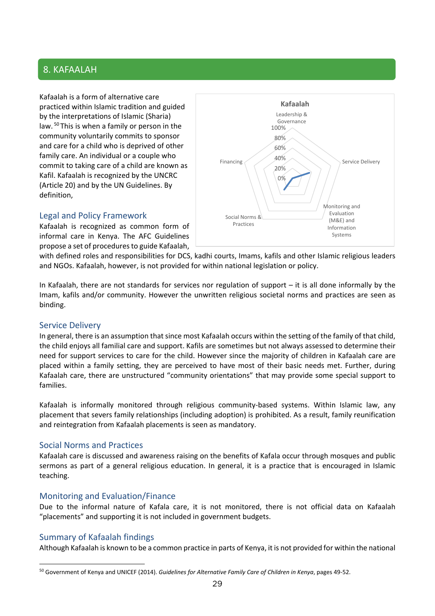#### 8. KAFAALAH

Kafaalah is a form of alternative care practiced within Islamic tradition and guided by the interpretations of Islamic (Sharia) law. [50](#page-38-0) This is when a family or person in the community voluntarily commits to sponsor and care for a child who is deprived of other family care. An individual or a couple who commit to taking care of a child are known as Kafil. Kafaalah is recognized by the UNCRC (Article 20) and by the UN Guidelines. By definition,



#### Legal and Policy Framework

Kafaalah is recognized as common form of informal care in Kenya. The AFC Guidelines propose a set of procedures to guide Kafaalah,

with defined roles and responsibilities for DCS, kadhi courts, Imams, kafils and other Islamic religious leaders and NGOs. Kafaalah, however, is not provided for within national legislation or policy.

In Kafaalah, there are not standards for services nor regulation of support – it is all done informally by the Imam, kafils and/or community. However the unwritten religious societal norms and practices are seen as binding.

#### Service Delivery

In general, there is an assumption that since most Kafaalah occurs within the setting of the family of that child, the child enjoys all familial care and support. Kafils are sometimes but not always assessed to determine their need for support services to care for the child. However since the majority of children in Kafaalah care are placed within a family setting, they are perceived to have most of their basic needs met. Further, during Kafaalah care, there are unstructured "community orientations" that may provide some special support to families.

Kafaalah is informally monitored through religious community-based systems. Within Islamic law, any placement that severs family relationships (including adoption) is prohibited. As a result, family reunification and reintegration from Kafaalah placements is seen as mandatory.

#### Social Norms and Practices

Kafaalah care is discussed and awareness raising on the benefits of Kafala occur through mosques and public sermons as part of a general religious education. In general, it is a practice that is encouraged in Islamic teaching.

#### Monitoring and Evaluation/Finance

Due to the informal nature of Kafala care, it is not monitored, there is not official data on Kafaalah "placements" and supporting it is not included in government budgets.

#### Summary of Kafaalah findings

Although Kafaalah is known to be a common practice in parts of Kenya, it is not provided for within the national

<span id="page-38-0"></span><sup>50</sup> Government of Kenya and UNICEF (2014). *Guidelines for Alternative Family Care of Children in Kenya*, pages 49-52.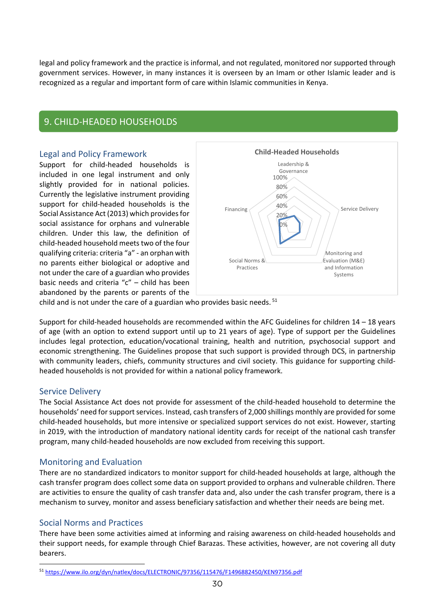legal and policy framework and the practice is informal, and not regulated, monitored nor supported through government services. However, in many instances it is overseen by an Imam or other Islamic leader and is recognized as a regular and important form of care within Islamic communities in Kenya.

### <span id="page-39-0"></span>*Child-Headed Households* 9. CHILD-HEADED HOUSEHOLDS

#### Legal and Policy Framework

Support for child-headed households is included in one legal instrument and only slightly provided for in national policies. Currently the legislative instrument providing support for child-headed households is the Social Assistance Act (2013) which provides for social assistance for orphans and vulnerable children. Under this law, the definition of child-headed household meets two of the four qualifying criteria: criteria "a" - an orphan with no parents either biological or adoptive and not under the care of a guardian who provides basic needs and criteria "c" – child has been abandoned by the parents or parents of the



child and is not under the care of a guardian who provides basic needs. <sup>[51](#page-39-1)</sup>

Support for child-headed households are recommended within the AFC Guidelines for children 14 – 18 years of age (with an option to extend support until up to 21 years of age). Type of support per the Guidelines includes legal protection, education/vocational training, health and nutrition, psychosocial support and economic strengthening. The Guidelines propose that such support is provided through DCS, in partnership with community leaders, chiefs, community structures and civil society. This guidance for supporting childheaded households is not provided for within a national policy framework.

#### Service Delivery

The Social Assistance Act does not provide for assessment of the child-headed household to determine the households' need for support services. Instead, cash transfers of 2,000 shillings monthly are provided for some child-headed households, but more intensive or specialized support services do not exist. However, starting in 2019, with the introduction of mandatory national identity cards for receipt of the national cash transfer program, many child-headed households are now excluded from receiving this support.

#### Monitoring and Evaluation

There are no standardized indicators to monitor support for child-headed households at large, although the cash transfer program does collect some data on support provided to orphans and vulnerable children. There are activities to ensure the quality of cash transfer data and, also under the cash transfer program, there is a mechanism to survey, monitor and assess beneficiary satisfaction and whether their needs are being met.

#### Social Norms and Practices

There have been some activities aimed at informing and raising awareness on child-headed households and their support needs, for example through Chief Barazas. These activities, however, are not covering all duty bearers.

<span id="page-39-1"></span><sup>51</sup> <https://www.ilo.org/dyn/natlex/docs/ELECTRONIC/97356/115476/F1496882450/KEN97356.pdf>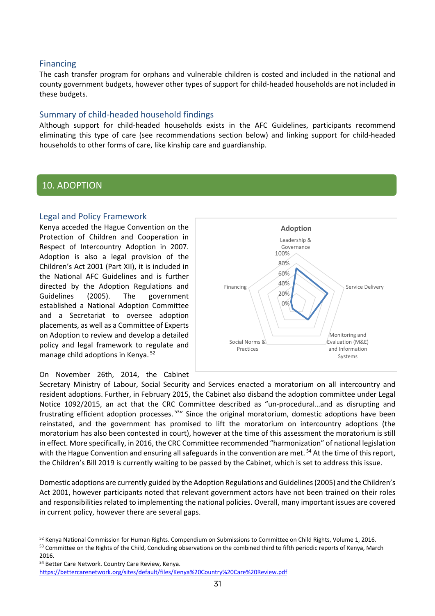#### Financing

The cash transfer program for orphans and vulnerable children is costed and included in the national and county government budgets, however other types of support for child-headed households are not included in these budgets.

#### Summary of child-headed household findings

Although support for child-headed households exists in the AFC Guidelines, participants recommend eliminating this type of care (see recommendations section below) and linking support for child-headed households to other forms of care, like kinship care and guardianship.

#### <span id="page-40-0"></span>*Adoption*  10. ADOPTION

#### Legal and Policy Framework

Kenya acceded the Hague Convention on the Protection of Children and Cooperation in Respect of Intercountry Adoption in 2007. Adoption is also a legal provision of the Children's Act 2001 (Part XII), it is included in the National AFC Guidelines and is further directed by the Adoption Regulations and Guidelines (2005). The government established a National Adoption Committee and a Secretariat to oversee adoption placements, as well as a Committee of Experts on Adoption to review and develop a detailed policy and legal framework to regulate and manage child adoptions in Kenya. [52](#page-40-1)





Secretary Ministry of Labour, Social Security and Services enacted a moratorium on all intercountry and resident adoptions. Further, in February 2015, the Cabinet also disband the adoption committee under Legal Notice 1092/2015, an act that the CRC Committee described as "un-procedural…and as disrupting and frustrating efficient adoption processes.<sup>[53](#page-40-2)</sup> Since the original moratorium, domestic adoptions have been reinstated, and the government has promised to lift the moratorium on intercountry adoptions (the moratorium has also been contested in court), however at the time of this assessment the moratorium is still in effect. More specifically, in 2016, the CRC Committee recommended "harmonization" of national legislation with the Hague Convention and ensuring all safeguards in the convention are met.<sup>[54](#page-40-3)</sup> At the time of this report, the Children's Bill 2019 is currently waiting to be passed by the Cabinet, which is set to address this issue.

Domestic adoptions are currently guided by the Adoption Regulations and Guidelines (2005) and the Children's Act 2001, however participants noted that relevant government actors have not been trained on their roles and responsibilities related to implementing the national policies. Overall, many important issues are covered in current policy, however there are several gaps.

<span id="page-40-2"></span><span id="page-40-1"></span><sup>&</sup>lt;sup>52</sup> Kenya National Commission for Human Rights. Compendium on Submissions to Committee on Child Rights, Volume 1, 2016. 53 Committee on the Rights of the Child, Concluding observations on the combined third to fifth periodic reports of Kenya, March 2016.

<span id="page-40-3"></span><sup>54</sup> Better Care Network. Country Care Review, Kenya. <https://bettercarenetwork.org/sites/default/files/Kenya%20Country%20Care%20Review.pdf>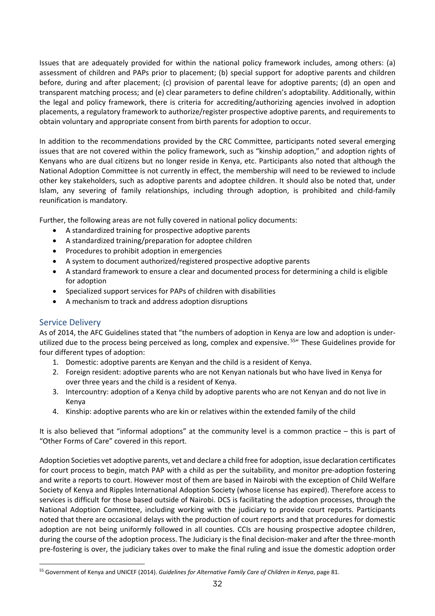Issues that are adequately provided for within the national policy framework includes, among others: (a) assessment of children and PAPs prior to placement; (b) special support for adoptive parents and children before, during and after placement; (c) provision of parental leave for adoptive parents; (d) an open and transparent matching process; and (e) clear parameters to define children's adoptability. Additionally, within the legal and policy framework, there is criteria for accrediting/authorizing agencies involved in adoption placements, a regulatory framework to authorize/register prospective adoptive parents, and requirements to obtain voluntary and appropriate consent from birth parents for adoption to occur.

In addition to the recommendations provided by the CRC Committee, participants noted several emerging issues that are not covered within the policy framework, such as "kinship adoption," and adoption rights of Kenyans who are dual citizens but no longer reside in Kenya, etc. Participants also noted that although the National Adoption Committee is not currently in effect, the membership will need to be reviewed to include other key stakeholders, such as adoptive parents and adoptee children. It should also be noted that, under Islam, any severing of family relationships, including through adoption, is prohibited and child-family reunification is mandatory.

Further, the following areas are not fully covered in national policy documents:

- A standardized training for prospective adoptive parents
- A standardized training/preparation for adoptee children
- Procedures to prohibit adoption in emergencies
- A system to document authorized/registered prospective adoptive parents
- A standard framework to ensure a clear and documented process for determining a child is eligible for adoption
- Specialized support services for PAPs of children with disabilities
- A mechanism to track and address adoption disruptions

#### Service Delivery

As of 2014, the AFC Guidelines stated that "the numbers of adoption in Kenya are low and adoption is underutilized due to the process being perceived as long, complex and expensive.<sup>55</sup>" These Guidelines provide for four different types of adoption:

- 1. Domestic: adoptive parents are Kenyan and the child is a resident of Kenya.
- 2. Foreign resident: adoptive parents who are not Kenyan nationals but who have lived in Kenya for over three years and the child is a resident of Kenya.
- 3. Intercountry: adoption of a Kenya child by adoptive parents who are not Kenyan and do not live in Kenya
- 4. Kinship: adoptive parents who are kin or relatives within the extended family of the child

It is also believed that "informal adoptions" at the community level is a common practice – this is part of "Other Forms of Care" covered in this report.

Adoption Societies vet adoptive parents, vet and declare a child free for adoption, issue declaration certificates for court process to begin, match PAP with a child as per the suitability, and monitor pre-adoption fostering and write a reports to court. However most of them are based in Nairobi with the exception of Child Welfare Society of Kenya and Ripples International Adoption Society (whose license has expired). Therefore access to services is difficult for those based outside of Nairobi. DCS is facilitating the adoption processes, through the National Adoption Committee, including working with the judiciary to provide court reports. Participants noted that there are occasional delays with the production of court reports and that procedures for domestic adoption are not being uniformly followed in all counties. CCIs are housing prospective adoptee children, during the course of the adoption process. The Judiciary is the final decision-maker and after the three-month pre-fostering is over, the judiciary takes over to make the final ruling and issue the domestic adoption order

<span id="page-41-0"></span><sup>55</sup> Government of Kenya and UNICEF (2014). *Guidelines for Alternative Family Care of Children in Kenya*, page 81.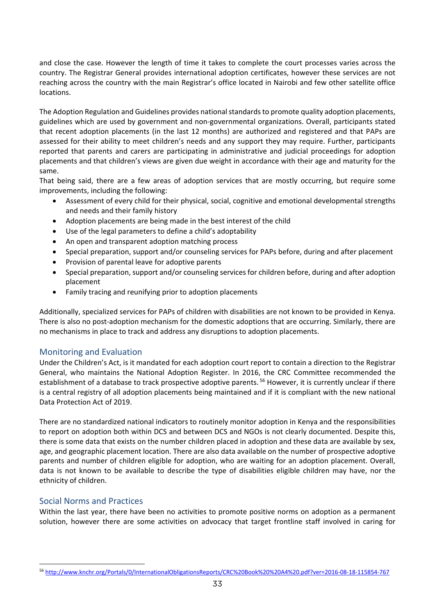and close the case. However the length of time it takes to complete the court processes varies across the country. The Registrar General provides international adoption certificates, however these services are not reaching across the country with the main Registrar's office located in Nairobi and few other satellite office locations.

The Adoption Regulation and Guidelines provides national standards to promote quality adoption placements, guidelines which are used by government and non-governmental organizations. Overall, participants stated that recent adoption placements (in the last 12 months) are authorized and registered and that PAPs are assessed for their ability to meet children's needs and any support they may require. Further, participants reported that parents and carers are participating in administrative and judicial proceedings for adoption placements and that children's views are given due weight in accordance with their age and maturity for the same.

That being said, there are a few areas of adoption services that are mostly occurring, but require some improvements, including the following:

- Assessment of every child for their physical, social, cognitive and emotional developmental strengths and needs and their family history
- Adoption placements are being made in the best interest of the child
- Use of the legal parameters to define a child's adoptability
- An open and transparent adoption matching process
- Special preparation, support and/or counseling services for PAPs before, during and after placement
- Provision of parental leave for adoptive parents
- Special preparation, support and/or counseling services for children before, during and after adoption placement
- Family tracing and reunifying prior to adoption placements

Additionally, specialized services for PAPs of children with disabilities are not known to be provided in Kenya. There is also no post-adoption mechanism for the domestic adoptions that are occurring. Similarly, there are no mechanisms in place to track and address any disruptions to adoption placements.

#### Monitoring and Evaluation

Under the Children's Act, is it mandated for each adoption court report to contain a direction to the Registrar General, who maintains the National Adoption Register. In 2016, the CRC Committee recommended the establishment of a database to track prospective adoptive parents.<sup>[56](#page-42-0)</sup> However, it is currently unclear if there is a central registry of all adoption placements being maintained and if it is compliant with the new national Data Protection Act of 2019.

There are no standardized national indicators to routinely monitor adoption in Kenya and the responsibilities to report on adoption both within DCS and between DCS and NGOs is not clearly documented. Despite this, there is some data that exists on the number children placed in adoption and these data are available by sex, age, and geographic placement location. There are also data available on the number of prospective adoptive parents and number of children eligible for adoption, who are waiting for an adoption placement. Overall, data is not known to be available to describe the type of disabilities eligible children may have, nor the ethnicity of children.

#### Social Norms and Practices

Within the last year, there have been no activities to promote positive norms on adoption as a permanent solution, however there are some activities on advocacy that target frontline staff involved in caring for

<span id="page-42-0"></span><sup>56</sup> <http://www.knchr.org/Portals/0/InternationalObligationsReports/CRC%20Book%20%20A4%20.pdf?ver=2016-08-18-115854-767>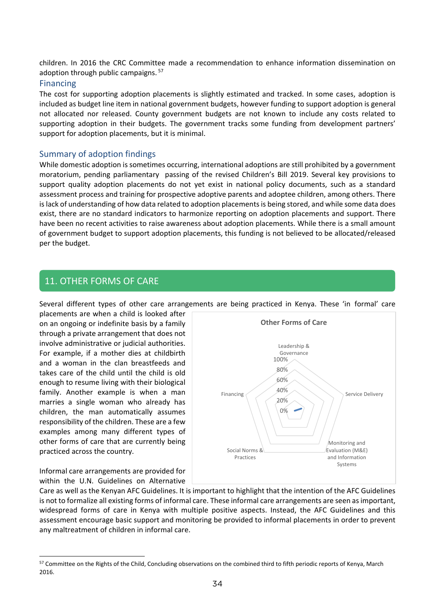children. In 2016 the CRC Committee made a recommendation to enhance information dissemination on adoption through public campaigns.<sup>[57](#page-43-1)</sup>

#### Financing

The cost for supporting adoption placements is slightly estimated and tracked. In some cases, adoption is included as budget line item in national government budgets, however funding to support adoption is general not allocated nor released. County government budgets are not known to include any costs related to supporting adoption in their budgets. The government tracks some funding from development partners' support for adoption placements, but it is minimal.

#### Summary of adoption findings

While domestic adoption is sometimes occurring, international adoptions are still prohibited by a government moratorium, pending parliamentary passing of the revised Children's Bill 2019. Several key provisions to support quality adoption placements do not yet exist in national policy documents, such as a standard assessment process and training for prospective adoptive parents and adoptee children, among others. There is lack of understanding of how data related to adoption placements is being stored, and while some data does exist, there are no standard indicators to harmonize reporting on adoption placements and support. There have been no recent activities to raise awareness about adoption placements. While there is a small amount of government budget to support adoption placements, this funding is not believed to be allocated/released per the budget.

#### <span id="page-43-0"></span>support budgeting. *Other Forms of Care* 11. OTHER FORMS OF CARE

Several different types of other care arrangements are being practiced in Kenya. These 'in formal' care

placements are when a child is looked after on an ongoing or indefinite basis by a family through a private arrangement that does not involve administrative or judicial authorities. For example, if a mother dies at childbirth and a woman in the clan breastfeeds and takes care of the child until the child is old enough to resume living with their biological family. Another example is when a man marries a single woman who already has children, the man automatically assumes responsibility of the children. These are a few examples among many different types of other forms of care that are currently being practiced across the country.

Informal care arrangements are provided for within the U.N. Guidelines on Alternative



Care as well as the Kenyan AFC Guidelines. It is important to highlight that the intention of the AFC Guidelines is not to formalize all existing forms of informal care. These informal care arrangements are seen as important, widespread forms of care in Kenya with multiple positive aspects. Instead, the AFC Guidelines and this assessment encourage basic support and monitoring be provided to informal placements in order to prevent any maltreatment of children in informal care.

<span id="page-43-1"></span><sup>57</sup> Committee on the Rights of the Child, Concluding observations on the combined third to fifth periodic reports of Kenya, March 2016.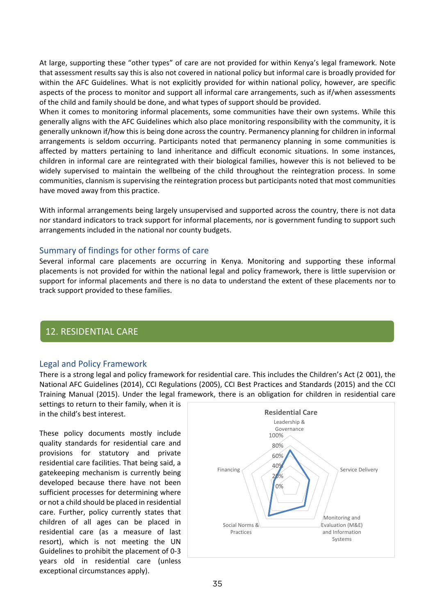At large, supporting these "other types" of care are not provided for within Kenya's legal framework. Note that assessment results say this is also not covered in national policy but informal care is broadly provided for within the AFC Guidelines. What is not explicitly provided for within national policy, however, are specific aspects of the process to monitor and support all informal care arrangements, such as if/when assessments of the child and family should be done, and what types of support should be provided.

When it comes to monitoring informal placements, some communities have their own systems. While this generally aligns with the AFC Guidelines which also place monitoring responsibility with the community, it is generally unknown if/how this is being done across the country. Permanency planning for children in informal arrangements is seldom occurring. Participants noted that permanency planning in some communities is affected by matters pertaining to land inheritance and difficult economic situations. In some instances, children in informal care are reintegrated with their biological families, however this is not believed to be widely supervised to maintain the wellbeing of the child throughout the reintegration process. In some communities, clannism is supervising the reintegration process but participants noted that most communities have moved away from this practice.

With informal arrangements being largely unsupervised and supported across the country, there is not data nor standard indicators to track support for informal placements, nor is government funding to support such arrangements included in the national nor county budgets.

#### Summary of findings for other forms of care

Several informal care placements are occurring in Kenya. Monitoring and supporting these informal placements is not provided for within the national legal and policy framework, there is little supervision or support for informal placements and there is no data to understand the extent of these placements nor to track support provided to these families.

#### <span id="page-44-0"></span>*Residential Care*  12. RESIDENTIAL CARE

#### Legal and Policy Framework

There is a strong legal and policy framework for residential care. This includes the Children's Act (2 001), the National AFC Guidelines (2014), CCI Regulations (2005), CCI Best Practices and Standards (2015) and the CCI Training Manual (2015). Under the legal framework, there is an obligation for children in residential care

settings to return to their family, when it is in the child's best interest.

These policy documents mostly include quality standards for residential care and provisions for statutory and private residential care facilities. That being said, a gatekeeping mechanism is currently being developed because there have not been sufficient processes for determining where or not a child should be placed in residential care. Further, policy currently states that children of all ages can be placed in residential care (as a measure of last resort), which is not meeting the UN Guidelines to prohibit the placement of 0-3 years old in residential care (unless exceptional circumstances apply).

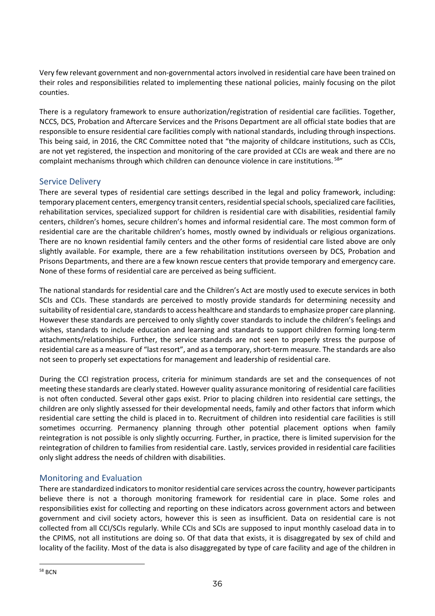Very few relevant government and non-governmental actors involved in residential care have been trained on their roles and responsibilities related to implementing these national policies, mainly focusing on the pilot counties.

There is a regulatory framework to ensure authorization/registration of residential care facilities. Together, NCCS, DCS, Probation and Aftercare Services and the Prisons Department are all official state bodies that are responsible to ensure residential care facilities comply with national standards, including through inspections. This being said, in 2016, the CRC Committee noted that "the majority of childcare institutions, such as CCIs, are not yet registered, the inspection and monitoring of the care provided at CCIs are weak and there are no complaint mechanisms through which children can denounce violence in care institutions. [58"](#page-45-0)

#### Service Delivery

There are several types of residential care settings described in the legal and policy framework, including: temporary placement centers, emergency transit centers, residential special schools, specialized care facilities, rehabilitation services, specialized support for children is residential care with disabilities, residential family centers, children's homes, secure children's homes and informal residential care. The most common form of residential care are the charitable children's homes, mostly owned by individuals or religious organizations. There are no known residential family centers and the other forms of residential care listed above are only slightly available. For example, there are a few rehabilitation institutions overseen by DCS, Probation and Prisons Departments, and there are a few known rescue centers that provide temporary and emergency care. None of these forms of residential care are perceived as being sufficient.

The national standards for residential care and the Children's Act are mostly used to execute services in both SCIs and CCIs. These standards are perceived to mostly provide standards for determining necessity and suitability of residential care, standards to access healthcare and standards to emphasize proper care planning. However these standards are perceived to only slightly cover standards to include the children's feelings and wishes, standards to include education and learning and standards to support children forming long-term attachments/relationships. Further, the service standards are not seen to properly stress the purpose of residential care as a measure of "last resort", and as a temporary, short-term measure. The standards are also not seen to properly set expectations for management and leadership of residential care.

During the CCI registration process, criteria for minimum standards are set and the consequences of not meeting these standards are clearly stated. However quality assurance monitoring of residential care facilities is not often conducted. Several other gaps exist. Prior to placing children into residential care settings, the children are only slightly assessed for their developmental needs, family and other factors that inform which residential care setting the child is placed in to. Recruitment of children into residential care facilities is still sometimes occurring. Permanency planning through other potential placement options when family reintegration is not possible is only slightly occurring. Further, in practice, there is limited supervision for the reintegration of children to families from residential care. Lastly, services provided in residential care facilities only slight address the needs of children with disabilities.

#### Monitoring and Evaluation

<span id="page-45-0"></span>There are standardized indicators to monitor residential care services across the country, however participants believe there is not a thorough monitoring framework for residential care in place. Some roles and responsibilities exist for collecting and reporting on these indicators across government actors and between government and civil society actors, however this is seen as insufficient. Data on residential care is not collected from all CCI/SCIs regularly. While CCIs and SCIs are supposed to input monthly caseload data in to the CPIMS, not all institutions are doing so. Of that data that exists, it is disaggregated by sex of child and locality of the facility. Most of the data is also disaggregated by type of care facility and age of the children in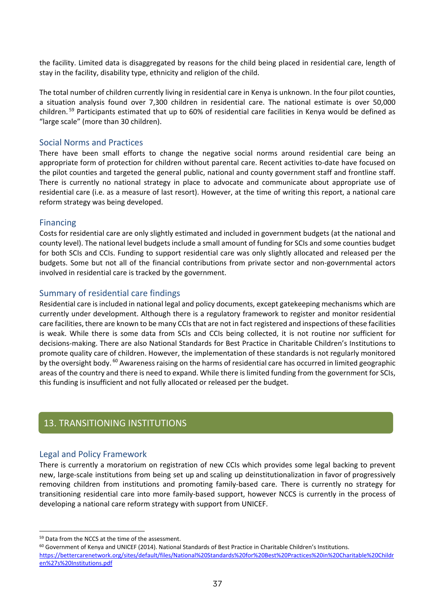the facility. Limited data is disaggregated by reasons for the child being placed in residential care, length of stay in the facility, disability type, ethnicity and religion of the child.

The total number of children currently living in residential care in Kenya is unknown. In the four pilot counties, a situation analysis found over 7,300 children in residential care. The national estimate is over 50,000 children. [59](#page-46-1) Participants estimated that up to 60% of residential care facilities in Kenya would be defined as "large scale" (more than 30 children).

#### Social Norms and Practices

There have been small efforts to change the negative social norms around residential care being an appropriate form of protection for children without parental care. Recent activities to-date have focused on the pilot counties and targeted the general public, national and county government staff and frontline staff. There is currently no national strategy in place to advocate and communicate about appropriate use of residential care (i.e. as a measure of last resort). However, at the time of writing this report, a national care reform strategy was being developed.

#### Financing

Costs for residential care are only slightly estimated and included in government budgets (at the national and county level). The national level budgets include a small amount of funding for SCIs and some counties budget for both SCIs and CCIs. Funding to support residential care was only slightly allocated and released per the budgets. Some but not all of the financial contributions from private sector and non-governmental actors involved in residential care is tracked by the government.

#### Summary of residential care findings

Residential care is included in national legal and policy documents, except gatekeeping mechanisms which are currently under development. Although there is a regulatory framework to register and monitor residential care facilities, there are known to be many CCIs that are not in fact registered and inspections of these facilities is weak. While there is some data from SCIs and CCIs being collected, it is not routine nor sufficient for decisions-making. There are also National Standards for Best Practice in Charitable Children's Institutions to promote quality care of children. However, the implementation of these standards is not regularly monitored by the oversight body. [60](#page-46-2) Awareness raising on the harms of residential care has occurred in limited geographic areas of the country and there is need to expand. While there is limited funding from the government for SCIs, this funding is insufficient and not fully allocated or released per the budget.

#### <span id="page-46-0"></span>*Transitioning Institutions* 13. TRANSITIONING INSTITUTIONS

#### Legal and Policy Framework

There is currently a moratorium on registration of new CCIs which provides some legal backing to prevent new, large-scale institutions from being set up and scaling up deinstitutionalization in favor of progressively removing children from institutions and promoting family-based care. There is currently no strategy for transitioning residential care into more family-based support, however NCCS is currently in the process of developing a national care reform strategy with support from UNICEF.

<span id="page-46-1"></span><sup>59</sup> Data from the NCCS at the time of the assessment.

<span id="page-46-2"></span><sup>&</sup>lt;sup>60</sup> Government of Kenya and UNICEF (2014). National Standards of Best Practice in Charitable Children's Institutions. [https://bettercarenetwork.org/sites/default/files/National%20Standards%20for%20Best%20Practices%20in%20Charitable%20Childr](https://bettercarenetwork.org/sites/default/files/National%20Standards%20for%20Best%20Practices%20in%20Charitable%20Children%27s%20Institutions.pdf) [en%27s%20Institutions.pdf](https://bettercarenetwork.org/sites/default/files/National%20Standards%20for%20Best%20Practices%20in%20Charitable%20Children%27s%20Institutions.pdf)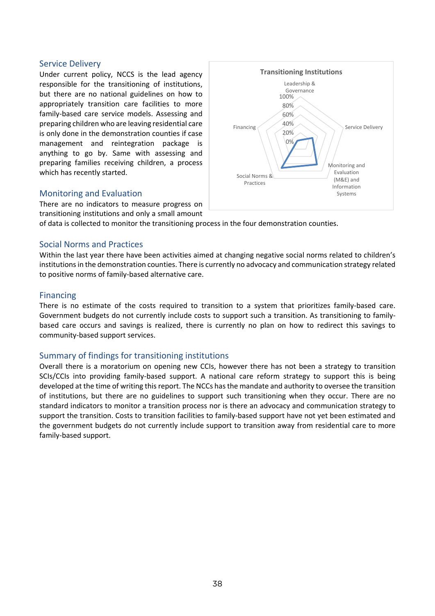#### Service Delivery

Under current policy, NCCS is the lead agency responsible for the transitioning of institutions, but there are no national guidelines on how to appropriately transition care facilities to more family-based care service models. Assessing and preparing children who are leaving residential care is only done in the demonstration counties if case management and reintegration package is anything to go by. Same with assessing and preparing families receiving children, a process which has recently started.

#### Monitoring and Evaluation

There are no indicators to measure progress on transitioning institutions and only a small amount

of data is collected to monitor the transitioning process in the four demonstration counties.

#### Social Norms and Practices

Within the last year there have been activities aimed at changing negative social norms related to children's institutions in the demonstration counties. There is currently no advocacy and communication strategy related to positive norms of family-based alternative care.

#### Financing

There is no estimate of the costs required to transition to a system that prioritizes family-based care. Government budgets do not currently include costs to support such a transition. As transitioning to familybased care occurs and savings is realized, there is currently no plan on how to redirect this savings to community-based support services.

#### Summary of findings for transitioning institutions

Overall there is a moratorium on opening new CCIs, however there has not been a strategy to transition SCIs/CCIs into providing family-based support. A national care reform strategy to support this is being developed at the time of writing this report. The NCCs has the mandate and authority to oversee the transition of institutions, but there are no guidelines to support such transitioning when they occur. There are no standard indicators to monitor a transition process nor is there an advocacy and communication strategy to support the transition. Costs to transition facilities to family-based support have not yet been estimated and the government budgets do not currently include support to transition away from residential care to more family-based support.

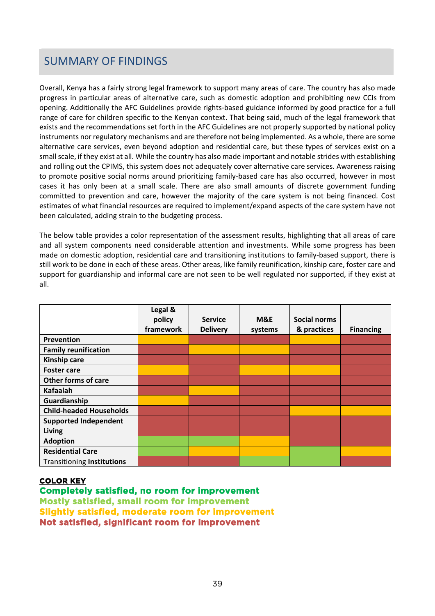# <span id="page-48-0"></span>**Summary of Findings** SUMMARY OF FINDINGS

Overall, Kenya has a fairly strong legal framework to support many areas of care. The country has also made progress in particular areas of alternative care, such as domestic adoption and prohibiting new CCIs from opening. Additionally the AFC Guidelines provide rights-based guidance informed by good practice for a full range of care for children specific to the Kenyan context. That being said, much of the legal framework that exists and the recommendations set forth in the AFC Guidelines are not properly supported by national policy instruments nor regulatory mechanisms and are therefore not being implemented. As a whole, there are some alternative care services, even beyond adoption and residential care, but these types of services exist on a small scale, if they exist at all. While the country has also made important and notable strides with establishing and rolling out the CPIMS, this system does not adequately cover alternative care services. Awareness raising to promote positive social norms around prioritizing family-based care has also occurred, however in most cases it has only been at a small scale. There are also small amounts of discrete government funding committed to prevention and care, however the majority of the care system is not being financed. Cost estimates of what financial resources are required to implement/expand aspects of the care system have not been calculated, adding strain to the budgeting process.

The below table provides a color representation of the assessment results, highlighting that all areas of care and all system components need considerable attention and investments. While some progress has been made on domestic adoption, residential care and transitioning institutions to family-based support, there is still work to be done in each of these areas. Other areas, like family reunification, kinship care, foster care and support for guardianship and informal care are not seen to be well regulated nor supported, if they exist at all.

|                                   | Legal &<br>policy<br>framework | <b>Service</b><br><b>Delivery</b> | M&E<br>systems | <b>Social norms</b><br>& practices | <b>Financing</b> |
|-----------------------------------|--------------------------------|-----------------------------------|----------------|------------------------------------|------------------|
| Prevention                        |                                |                                   |                |                                    |                  |
| <b>Family reunification</b>       |                                |                                   |                |                                    |                  |
| <b>Kinship care</b>               |                                |                                   |                |                                    |                  |
| <b>Foster care</b>                |                                |                                   |                |                                    |                  |
| <b>Other forms of care</b>        |                                |                                   |                |                                    |                  |
| <b>Kafaalah</b>                   |                                |                                   |                |                                    |                  |
| Guardianship                      |                                |                                   |                |                                    |                  |
| <b>Child-headed Households</b>    |                                |                                   |                |                                    |                  |
| <b>Supported Independent</b>      |                                |                                   |                |                                    |                  |
| <b>Living</b>                     |                                |                                   |                |                                    |                  |
| <b>Adoption</b>                   |                                |                                   |                |                                    |                  |
| <b>Residential Care</b>           |                                |                                   |                |                                    |                  |
| <b>Transitioning Institutions</b> |                                |                                   |                |                                    |                  |

#### **COLOR KEY**

**Completely satisfied, no room for improvement Mostly satisfied, small room for improvement 60-89 Slightly satisfied, moderate room for improvement 30- Not satisfied, significant room for improvement 0**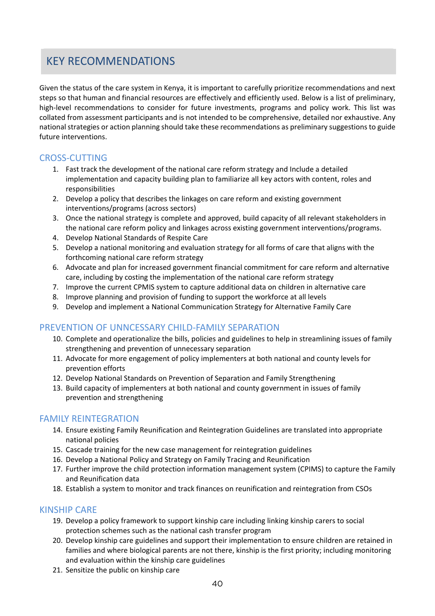# <span id="page-49-0"></span>**Key recommendations**  KEY RECOMMENDATIONS

Given the status of the care system in Kenya, it is important to carefully prioritize recommendations and next steps so that human and financial resources are effectively and efficiently used. Below is a list of preliminary, high-level recommendations to consider for future investments, programs and policy work. This list was collated from assessment participants and is not intended to be comprehensive, detailed nor exhaustive. Any national strategies or action planning should take these recommendations as preliminary suggestions to guide future interventions.

#### CROSS-CUTTING

- 1. Fast track the development of the national care reform strategy and Include a detailed implementation and capacity building plan to familiarize all key actors with content, roles and responsibilities
- 2. Develop a policy that describes the linkages on care reform and existing government interventions/programs (across sectors)
- 3. Once the national strategy is complete and approved, build capacity of all relevant stakeholders in the national care reform policy and linkages across existing government interventions/programs.
- 4. Develop National Standards of Respite Care
- 5. Develop a national monitoring and evaluation strategy for all forms of care that aligns with the forthcoming national care reform strategy
- 6. Advocate and plan for increased government financial commitment for care reform and alternative care, including by costing the implementation of the national care reform strategy
- 7. Improve the current CPMIS system to capture additional data on children in alternative care
- 8. Improve planning and provision of funding to support the workforce at all levels
- 9. Develop and implement a National Communication Strategy for Alternative Family Care

#### PREVENTION OF UNNCESSARY CHILD-FAMILY SEPARATION

- 10. Complete and operationalize the bills, policies and guidelines to help in streamlining issues of family strengthening and prevention of unnecessary separation
- 11. Advocate for more engagement of policy implementers at both national and county levels for prevention efforts
- 12. Develop National Standards on Prevention of Separation and Family Strengthening
- 13. Build capacity of implementers at both national and county government in issues of family prevention and strengthening

#### FAMILY REINTEGRATION

- 14. Ensure existing Family Reunification and Reintegration Guidelines are translated into appropriate national policies
- 15. Cascade training for the new case management for reintegration guidelines
- 16. Develop a National Policy and Strategy on Family Tracing and Reunification
- 17. Further improve the child protection information management system (CPIMS) to capture the Family and Reunification data
- 18. Establish a system to monitor and track finances on reunification and reintegration from CSOs

#### KINSHIP CARE

- 19. Develop a policy framework to support kinship care including linking kinship carers to social protection schemes such as the national cash transfer program
- 20. Develop kinship care guidelines and support their implementation to ensure children are retained in families and where biological parents are not there, kinship is the first priority; including monitoring and evaluation within the kinship care guidelines
- 21. Sensitize the public on kinship care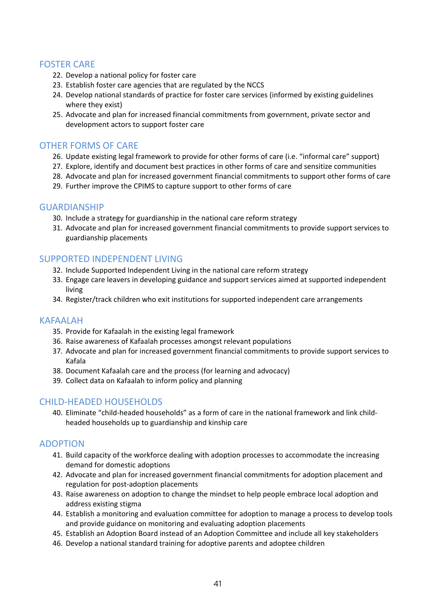#### FOSTER CARE

- 22. Develop a national policy for foster care
- 23. Establish foster care agencies that are regulated by the NCCS
- 24. Develop national standards of practice for foster care services (informed by existing guidelines where they exist)
- 25. Advocate and plan for increased financial commitments from government, private sector and development actors to support foster care

#### OTHER FORMS OF CARE

- 26. Update existing legal framework to provide for other forms of care (i.e. "informal care" support)
- 27. Explore, identify and document best practices in other forms of care and sensitize communities
- 28. Advocate and plan for increased government financial commitments to support other forms of care
- 29. Further improve the CPIMS to capture support to other forms of care

#### GUARDIANSHIP

- 30. Include a strategy for guardianship in the national care reform strategy
- 31. Advocate and plan for increased government financial commitments to provide support services to guardianship placements

#### SUPPORTED INDEPENDENT LIVING

- 32. Include Supported Independent Living in the national care reform strategy
- 33. Engage care leavers in developing guidance and support services aimed at supported independent living
- 34. Register/track children who exit institutions for supported independent care arrangements

#### KAFAALAH

- 35. Provide for Kafaalah in the existing legal framework
- 36. Raise awareness of Kafaalah processes amongst relevant populations
- 37. Advocate and plan for increased government financial commitments to provide support services to Kafala
- 38. Document Kafaalah care and the process (for learning and advocacy)
- 39. Collect data on Kafaalah to inform policy and planning

#### CHILD-HEADED HOUSEHOLDS

40. Eliminate "child-headed households" as a form of care in the national framework and link childheaded households up to guardianship and kinship care

#### ADOPTION

- 41. Build capacity of the workforce dealing with adoption processes to accommodate the increasing demand for domestic adoptions
- 42. Advocate and plan for increased government financial commitments for adoption placement and regulation for post-adoption placements
- 43. Raise awareness on adoption to change the mindset to help people embrace local adoption and address existing stigma
- 44. Establish a monitoring and evaluation committee for adoption to manage a process to develop tools and provide guidance on monitoring and evaluating adoption placements
- 45. Establish an Adoption Board instead of an Adoption Committee and include all key stakeholders
- 46. Develop a national standard training for adoptive parents and adoptee children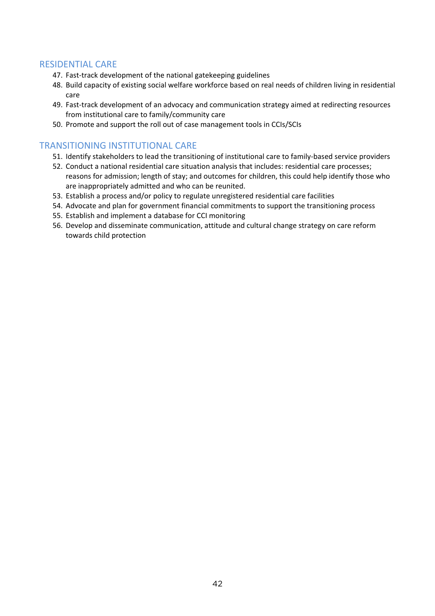#### RESIDENTIAL CARE

- 47. Fast-track development of the national gatekeeping guidelines
- 48. Build capacity of existing social welfare workforce based on real needs of children living in residential care
- 49. Fast-track development of an advocacy and communication strategy aimed at redirecting resources from institutional care to family/community care
- 50. Promote and support the roll out of case management tools in CCIs/SCIs

#### TRANSITIONING INSTITUTIONAL CARE

- 51. Identify stakeholders to lead the transitioning of institutional care to family-based service providers
- 52. Conduct a national residential care situation analysis that includes: residential care processes; reasons for admission; length of stay; and outcomes for children, this could help identify those who are inappropriately admitted and who can be reunited.
- 53. Establish a process and/or policy to regulate unregistered residential care facilities
- 54. Advocate and plan for government financial commitments to support the transitioning process
- 55. Establish and implement a database for CCI monitoring
- 56. Develop and disseminate communication, attitude and cultural change strategy on care reform towards child protection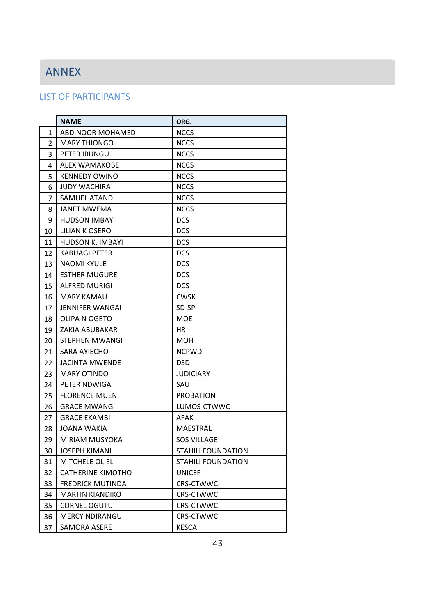# ANNEX ANNEX

#### LIST OF PARTICIPANTS

|                | <b>NAME</b>             | ORG.                      |
|----------------|-------------------------|---------------------------|
| $\mathbf{1}$   | ABDINOOR MOHAMED        | <b>NCCS</b>               |
| $\overline{2}$ | <b>MARY THIONGO</b>     | <b>NCCS</b>               |
| 3              | PETER IRUNGU            | <b>NCCS</b>               |
| 4              | <b>ALEX WAMAKOBE</b>    | <b>NCCS</b>               |
| 5              | <b>KENNEDY OWINO</b>    | <b>NCCS</b>               |
| 6              | <b>JUDY WACHIRA</b>     | <b>NCCS</b>               |
| 7              | <b>SAMUEL ATANDI</b>    | <b>NCCS</b>               |
| 8              | <b>JANET MWEMA</b>      | <b>NCCS</b>               |
| 9              | <b>HUDSON IMBAYI</b>    | <b>DCS</b>                |
| 10             | LILIAN K OSERO          | <b>DCS</b>                |
| 11             | <b>HUDSON K. IMBAYI</b> | <b>DCS</b>                |
| 12             | <b>KABUAGI PETER</b>    | <b>DCS</b>                |
| 13             | <b>NAOMI KYULE</b>      | <b>DCS</b>                |
| 14             | <b>ESTHER MUGURE</b>    | <b>DCS</b>                |
| 15             | <b>ALFRED MURIGI</b>    | <b>DCS</b>                |
| 16             | <b>MARY KAMAU</b>       | <b>CWSK</b>               |
| 17             | <b>JENNIFER WANGAI</b>  | SD-SP                     |
| 18             | OLIPA N OGETO           | <b>MOE</b>                |
| 19             | ZAKIA ABUBAKAR          | HR                        |
| 20             | STEPHEN MWANGI          | <b>MOH</b>                |
| 21             | SARA AYIECHO            | <b>NCPWD</b>              |
| 22             | <b>JACINTA MWENDE</b>   | <b>DSD</b>                |
| 23             | <b>MARY OTINDO</b>      | <b>JUDICIARY</b>          |
| 24             | PETER NDWIGA            | SAU                       |
| 25             | <b>FLORENCE MUENI</b>   | <b>PROBATION</b>          |
| 26             | <b>GRACE MWANGI</b>     | LUMOS-CTWWC               |
| 27             | <b>GRACE EKAMBI</b>     | AFAK                      |
| 28             | JOANA WAKIA             | <b>MAESTRAL</b>           |
| 29             | <b>MIRIAM MUSYOKA</b>   | <b>SOS VILLAGE</b>        |
| 30             | <b>JOSEPH KIMANI</b>    | <b>STAHILI FOUNDATION</b> |
| 31             | <b>MITCHELE OLIEL</b>   | <b>STAHILI FOUNDATION</b> |
| 32             | CATHERINE KIMOTHO       | <b>UNICEF</b>             |
| 33             | <b>FREDRICK MUTINDA</b> | <b>CRS-CTWWC</b>          |
| 34             | <b>MARTIN KIANDIKO</b>  | <b>CRS-CTWWC</b>          |
| 35             | <b>CORNEL OGUTU</b>     | <b>CRS-CTWWC</b>          |
| 36             | <b>MERCY NDIRANGU</b>   | <b>CRS-CTWWC</b>          |
| 37             | <b>SAMORA ASERE</b>     | <b>KESCA</b>              |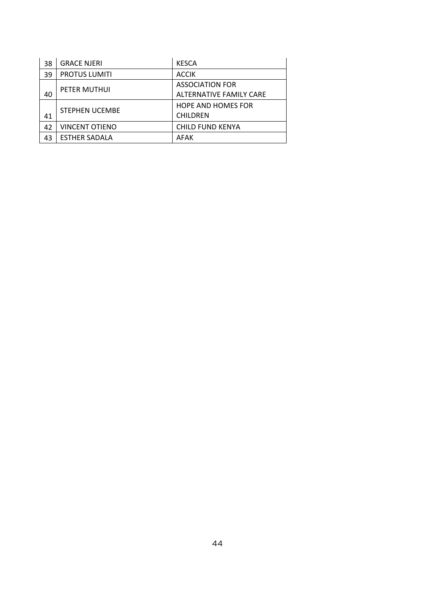| 38 | <b>GRACE NJERI</b>    | <b>KESCA</b>              |
|----|-----------------------|---------------------------|
| 39 | <b>PROTUS LUMITI</b>  | <b>ACCIK</b>              |
|    | PETER MUTHUI          | <b>ASSOCIATION FOR</b>    |
| 40 |                       | ALTERNATIVE FAMILY CARE   |
|    | <b>STEPHEN UCEMBE</b> | <b>HOPE AND HOMES FOR</b> |
| 41 |                       | <b>CHILDREN</b>           |
| 42 | <b>VINCENT OTIENO</b> | <b>CHILD FUND KENYA</b>   |
| 43 | <b>ESTHER SADALA</b>  | AFAK                      |